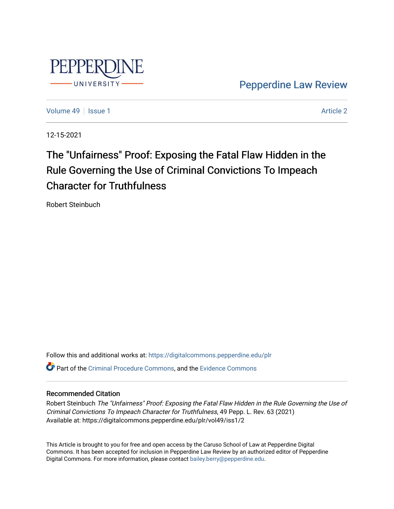

[Pepperdine Law Review](https://digitalcommons.pepperdine.edu/plr) 

[Volume 49](https://digitalcommons.pepperdine.edu/plr/vol49) | [Issue 1](https://digitalcommons.pepperdine.edu/plr/vol49/iss1) [Article 2](https://digitalcommons.pepperdine.edu/plr/vol49/iss1/2) Article 2 Article 2 Article 2 Article 2 Article 2 Article 2 Article 2 Article 2

12-15-2021

# The "Unfairness" Proof: Exposing the Fatal Flaw Hidden in the Rule Governing the Use of Criminal Convictions To Impeach Character for Truthfulness

Robert Steinbuch

Follow this and additional works at: [https://digitalcommons.pepperdine.edu/plr](https://digitalcommons.pepperdine.edu/plr?utm_source=digitalcommons.pepperdine.edu%2Fplr%2Fvol49%2Fiss1%2F2&utm_medium=PDF&utm_campaign=PDFCoverPages) **C**<sup> $\bullet$ </sup> Part of the [Criminal Procedure Commons,](http://network.bepress.com/hgg/discipline/1073?utm_source=digitalcommons.pepperdine.edu%2Fplr%2Fvol49%2Fiss1%2F2&utm_medium=PDF&utm_campaign=PDFCoverPages) and the [Evidence Commons](http://network.bepress.com/hgg/discipline/601?utm_source=digitalcommons.pepperdine.edu%2Fplr%2Fvol49%2Fiss1%2F2&utm_medium=PDF&utm_campaign=PDFCoverPages)

# Recommended Citation

Robert Steinbuch The "Unfairness" Proof: Exposing the Fatal Flaw Hidden in the Rule Governing the Use of Criminal Convictions To Impeach Character for Truthfulness, 49 Pepp. L. Rev. 63 (2021) Available at: https://digitalcommons.pepperdine.edu/plr/vol49/iss1/2

This Article is brought to you for free and open access by the Caruso School of Law at Pepperdine Digital Commons. It has been accepted for inclusion in Pepperdine Law Review by an authorized editor of Pepperdine Digital Commons. For more information, please contact [bailey.berry@pepperdine.edu.](mailto:bailey.berry@pepperdine.edu)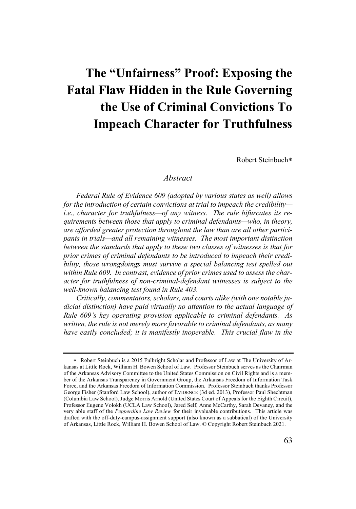# **The "Unfairness" Proof: Exposing the Fatal Flaw Hidden in the Rule Governing the Use of Criminal Convictions To Impeach Character for Truthfulness**

Robert Steinbuch\*

# *Abstract*

*Federal Rule of Evidence 609 (adopted by various states as well) allows for the introduction of certain convictions at trial to impeach the credibility i.e., character for truthfulness—of any witness. The rule bifurcates its requirements between those that apply to criminal defendants—who, in theory, are afforded greater protection throughout the law than are all other participants in trials—and all remaining witnesses. The most important distinction between the standards that apply to these two classes of witnesses is that for prior crimes of criminal defendants to be introduced to impeach their credibility, those wrongdoings must survive a special balancing test spelled out within Rule 609. In contrast, evidence of prior crimes used to assess the character for truthfulness of non-criminal-defendant witnesses is subject to the well-known balancing test found in Rule 403.*

*Critically, commentators, scholars, and courts alike (with one notable judicial distinction) have paid virtually no attention to the actual language of Rule 609's key operating provision applicable to criminal defendants. As written, the rule is not merely more favorable to criminal defendants, as many have easily concluded; it is manifestly inoperable. This crucial flaw in the* 

<sup>\*</sup> Robert Steinbuch is a 2015 Fulbright Scholar and Professor of Law at The University of Arkansas at Little Rock, William H. Bowen School of Law. Professor Steinbuch serves as the Chairman of the Arkansas Advisory Committee to the United States Commission on Civil Rights and is a member of the Arkansas Transparency in Government Group, the Arkansas Freedom of Information Task Force, and the Arkansas Freedom of Information Commission. Professor Steinbuch thanks Professor George Fisher (Stanford Law School), author of EVIDENCE (3d ed. 2013), Professor Paul Shechtman (Columbia Law School), Judge Morris Arnold (United States Court of Appeals for the Eighth Circuit), Professor Eugene Volokh (UCLA Law School), Jared Self, Anne McCarthy, Sarah Devaney, and the very able staff of the *Pepperdine Law Review* for their invaluable contributions. This article was drafted with the off-duty-campus-assignment support (also known as a sabbatical) of the University of Arkansas, Little Rock, William H. Bowen School of Law. © Copyright Robert Steinbuch 2021.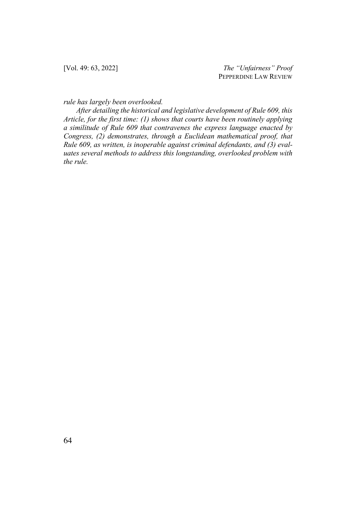[Vol. 49: 63, 2022] *The "Unfairness" Proof* PEPPERDINE LAW REVIEW

*rule has largely been overlooked.*

*After detailing the historical and legislative development of Rule 609, this Article, for the first time: (1) shows that courts have been routinely applying a similitude of Rule 609 that contravenes the express language enacted by Congress, (2) demonstrates, through a Euclidean mathematical proof, that Rule 609, as written, is inoperable against criminal defendants, and (3) evaluates several methods to address this longstanding, overlooked problem with the rule.*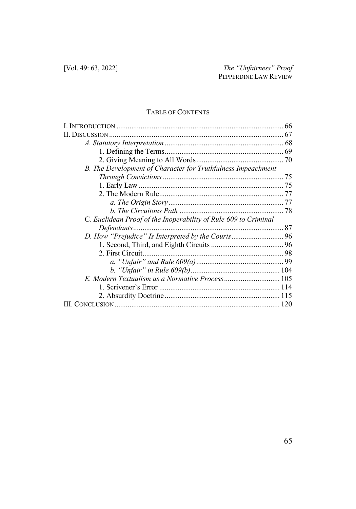# TABLE OF CONTENTS

| ISCUSSION                                                       |  |
|-----------------------------------------------------------------|--|
|                                                                 |  |
|                                                                 |  |
|                                                                 |  |
| B. The Development of Character for Truthfulness Impeachment    |  |
|                                                                 |  |
|                                                                 |  |
|                                                                 |  |
|                                                                 |  |
|                                                                 |  |
| C. Euclidean Proof of the Inoperability of Rule 609 to Criminal |  |
|                                                                 |  |
|                                                                 |  |
|                                                                 |  |
|                                                                 |  |
|                                                                 |  |
|                                                                 |  |
|                                                                 |  |
|                                                                 |  |
|                                                                 |  |
|                                                                 |  |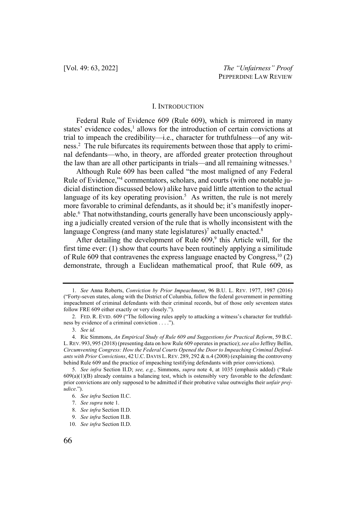#### I. INTRODUCTION

Federal Rule of Evidence 609 (Rule 609), which is mirrored in many states' evidence codes,<sup>1</sup> allows for the introduction of certain convictions at trial to impeach the credibility—i.e., character for truthfulness—of any witness.2 The rule bifurcates its requirements between those that apply to criminal defendants—who, in theory, are afforded greater protection throughout the law than are all other participants in trials—and all remaining witnesses.<sup>3</sup>

Although Rule 609 has been called "the most maligned of any Federal Rule of Evidence,"4 commentators, scholars, and courts (with one notable judicial distinction discussed below) alike have paid little attention to the actual language of its key operating provision.<sup>5</sup> As written, the rule is not merely more favorable to criminal defendants, as it should be; it's manifestly inoperable.6 That notwithstanding, courts generally have been unconsciously applying a judicially created version of the rule that is wholly inconsistent with the language Congress (and many state legislatures)<sup>7</sup> actually enacted.<sup>8</sup>

After detailing the development of Rule  $609$ ,<sup>9</sup> this Article will, for the first time ever: (1) show that courts have been routinely applying a similitude of Rule 609 that contravenes the express language enacted by Congress,  $10(2)$ demonstrate, through a Euclidean mathematical proof, that Rule 609, as

<sup>1.</sup> *See* Anna Roberts, *Conviction by Prior Impeachment*, 96 B.U. L. REV. 1977, 1987 (2016) ("Forty-seven states, along with the District of Columbia, follow the federal government in permitting impeachment of criminal defendants with their criminal records, but of those only seventeen states follow FRE 609 either exactly or very closely.").

<sup>2.</sup> FED. R. EVID. 609 ("The following rules apply to attacking a witness's character for truthfulness by evidence of a criminal conviction . . . .").

<sup>3.</sup> *See id.*

<sup>4.</sup> Ric Simmons, *An Empirical Study of Rule 609 and Suggestions for Practical Reform*, 59 B.C. L.REV. 993, 995 (2018) (presenting data on how Rule 609 operates in practice); *see also* Jeffrey Bellin, *Circumventing Congress: How the Federal Courts Opened the Door to Impeaching Criminal Defendants with Prior Convictions*, 42 U.C. DAVIS L. REV. 289, 292 & n.4 (2008) (explaining the controversy behind Rule 609 and the practice of impeaching testifying defendants with prior convictions).

<sup>5.</sup> *See infra* Section II.D; *see, e.g.*, Simmons, *supra* note 4, at 1035 (emphasis added) ("Rule  $609(a)(1)(B)$  already contains a balancing test, which is ostensibly very favorable to the defendant: prior convictions are only supposed to be admitted if their probative value outweighs their *unfair prejudice*.").

<sup>6.</sup> *See infra* Section II.C.

<sup>7.</sup> *See supra* note 1.

<sup>8.</sup> *See infra* Section II.D.

<sup>9.</sup> *See infra* Section II.B.

<sup>10.</sup> *See infra* Section II.D.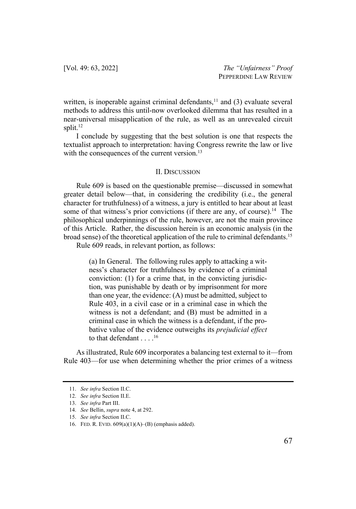written, is inoperable against criminal defendants, $11$  and (3) evaluate several methods to address this until-now overlooked dilemma that has resulted in a near-universal misapplication of the rule, as well as an unrevealed circuit split. $12$ 

I conclude by suggesting that the best solution is one that respects the textualist approach to interpretation: having Congress rewrite the law or live with the consequences of the current version.<sup>13</sup>

#### II. DISCUSSION

Rule 609 is based on the questionable premise—discussed in somewhat greater detail below—that, in considering the credibility (i.e., the general character for truthfulness) of a witness, a jury is entitled to hear about at least some of that witness's prior convictions (if there are any, of course).<sup>14</sup> The philosophical underpinnings of the rule, however, are not the main province of this Article. Rather, the discussion herein is an economic analysis (in the broad sense) of the theoretical application of the rule to criminal defendants.15

Rule 609 reads, in relevant portion, as follows:

(a) In General. The following rules apply to attacking a witness's character for truthfulness by evidence of a criminal conviction: (1) for a crime that, in the convicting jurisdiction, was punishable by death or by imprisonment for more than one year, the evidence: (A) must be admitted, subject to Rule 403, in a civil case or in a criminal case in which the witness is not a defendant; and (B) must be admitted in a criminal case in which the witness is a defendant, if the probative value of the evidence outweighs its *prejudicial effect* to that defendant . . . .16

As illustrated, Rule 609 incorporates a balancing test external to it—from Rule 403—for use when determining whether the prior crimes of a witness

<sup>11.</sup> *See infra* Section II.C.

<sup>12.</sup> *See infra* Section II.E.

<sup>13.</sup> *See infra* Part III.

<sup>14.</sup> *See* Bellin, *supra* note 4, at 292.

<sup>15.</sup> *See infra* Section II.C.

<sup>16.</sup> FED. R. EVID. 609(a)(1)(A)–(B) (emphasis added).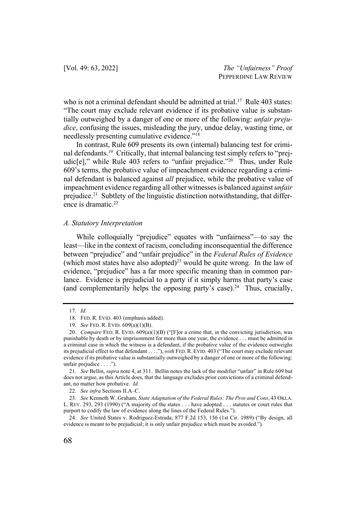who is not a criminal defendant should be admitted at trial.<sup>17</sup> Rule 403 states: "The court may exclude relevant evidence if its probative value is substantially outweighed by a danger of one or more of the following: *unfair prejudice*, confusing the issues, misleading the jury, undue delay, wasting time, or needlessly presenting cumulative evidence."18

In contrast, Rule 609 presents its own (internal) balancing test for criminal defendants.19 Critically, that internal balancing test simply refers to "prejudic<sup>[e]</sup>," while Rule 403 refers to "unfair prejudice."<sup>20</sup> Thus, under Rule 609's terms, the probative value of impeachment evidence regarding a criminal defendant is balanced against *all* prejudice, while the probative value of impeachment evidence regarding all other witnesses is balanced against *unfair* prejudice.<sup>21</sup> Subtlety of the linguistic distinction notwithstanding, that difference is dramatic. $22$ 

#### *A. Statutory Interpretation*

While colloquially "prejudice" equates with "unfairness"—to say the least—like in the context of racism, concluding inconsequential the difference between "prejudice" and "unfair prejudice" in the *Federal Rules of Evidence* (which most states have also adopted)<sup>23</sup> would be quite wrong. In the law of evidence, "prejudice" has a far more specific meaning than in common parlance. Evidence is prejudicial to a party if it simply harms that party's case (and complementarily helps the opposing party's case).<sup>24</sup> Thus, crucially,

<sup>17.</sup> *Id.*

<sup>18.</sup> FED. R. EVID. 403 (emphasis added).

<sup>19.</sup> *See* FED. R. EVID. 609(a)(1)(B).

<sup>20.</sup> *Compare* FED. R. EVID. 609(a)(1)(B) ("[F]or a crime that, in the convicting jurisdiction, was punishable by death or by imprisonment for more than one year, the evidence . . . must be admitted in a criminal case in which the witness is a defendant, if the probative value of the evidence outweighs its prejudicial effect to that defendant . . . ."), *with* FED. R. EVID. 403 ("The court may exclude relevant evidence if its probative value is substantially outweighed by a danger of one or more of the following: unfair prejudice . . . .").

<sup>21.</sup> *See* Bellin, *supra* note 4, at 311. Bellin notes the lack of the modifier "unfair" in Rule 609 but does not argue, as this Article does, that the language excludes prior convictions of a criminal defendant, no matter how probative. *Id.*

<sup>22.</sup> *See infra* Sections II.A–C.

<sup>23.</sup> *See* Kenneth W. Graham, *State Adaptation of the Federal Rules: The Pros and Cons*, 43 OKLA. L. REV. 293, 293 (1990) ("A majority of the states . . . have adopted . . . statutes or court rules that purport to codify the law of evidence along the lines of the Federal Rules.").

<sup>24.</sup> *See* United States v. Rodriguez-Estrada, 877 F.2d 153, 156 (1st Cir. 1989) ("By design, all evidence is meant to be prejudicial; it is only unfair prejudice which must be avoided.").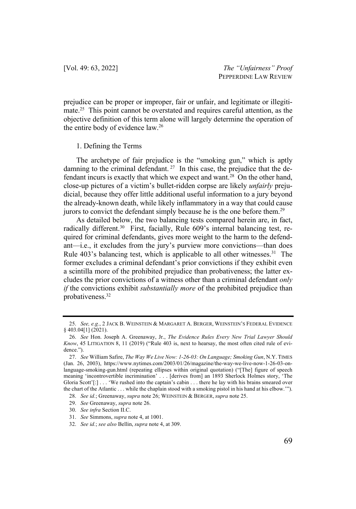prejudice can be proper or improper, fair or unfair, and legitimate or illegitimate.25 This point cannot be overstated and requires careful attention, as the objective definition of this term alone will largely determine the operation of the entire body of evidence law.26

#### 1. Defining the Terms

The archetype of fair prejudice is the "smoking gun," which is aptly damning to the criminal defendant.<sup>27</sup> In this case, the prejudice that the defendant incurs is exactly that which we expect and want.<sup>28</sup> On the other hand, close-up pictures of a victim's bullet-ridden corpse are likely *unfairly* prejudicial, because they offer little additional useful information to a jury beyond the already-known death, while likely inflammatory in a way that could cause jurors to convict the defendant simply because he is the one before them.<sup>29</sup>

As detailed below, the two balancing tests compared herein are, in fact, radically different.<sup>30</sup> First, facially, Rule 609's internal balancing test, required for criminal defendants, gives more weight to the harm to the defendant—i.e., it excludes from the jury's purview more convictions—than does Rule 403's balancing test, which is applicable to all other witnesses. <sup>31</sup> The former excludes a criminal defendant's prior convictions if they exhibit even a scintilla more of the prohibited prejudice than probativeness; the latter excludes the prior convictions of a witness other than a criminal defendant *only if* the convictions exhibit *substantially more* of the prohibited prejudice than probativeness.32

<sup>25.</sup> *See, e.g.*, 2 JACK B. WEINSTEIN & MARGARET A. BERGER, WEINSTEIN'S FEDERAL EVIDENCE § 403.04[1] (2021).

<sup>26.</sup> *See* Hon. Joseph A. Greenaway, Jr., *The Evidence Rules Every New Trial Lawyer Should Know*, 45 LITIGATION 8, 11 (2019) ("Rule 403 is, next to hearsay, the most often cited rule of evidence.").

<sup>27.</sup> *See* William Safire, *The Way We Live Now: 1-26-03: On Language; Smoking Gun*, N.Y. TIMES (Jan. 26, 2003), https://www.nytimes.com/2003/01/26/magazine/the-way-we-live-now-1-26-03-onlanguage-smoking-gun.html (repeating ellipses within original quotation) ("[The] figure of speech meaning 'incontrovertible incrimination' . . . [derives from] an 1893 Sherlock Holmes story, 'The Gloria Scott'[:] . . . 'We rushed into the captain's cabin . . . there he lay with his brains smeared over the chart of the Atlantic . . . while the chaplain stood with a smoking pistol in his hand at his elbow.'").

<sup>28.</sup> *See id.*; Greenaway, *supra* note 26; WEINSTEIN & BERGER, *supra* note 25.

<sup>29.</sup> *See* Greenaway, *supra* note 26.

<sup>30.</sup> *See infra* Section II.C.

<sup>31.</sup> *See* Simmons, *supra* note 4, at 1001.

<sup>32.</sup> *See id.*; *see also* Bellin, *supra* note 4, at 309.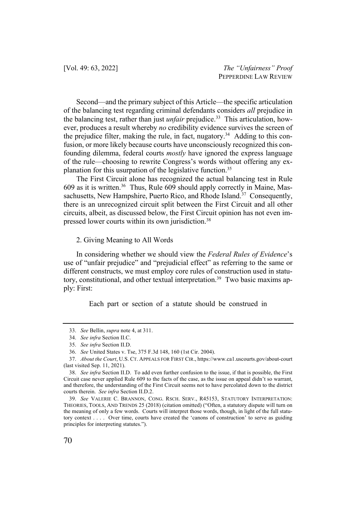Second—and the primary subject of this Article—the specific articulation of the balancing test regarding criminal defendants considers *all* prejudice in the balancing test, rather than just *unfair* prejudice.<sup>33</sup> This articulation, however, produces a result whereby *no* credibility evidence survives the screen of the prejudice filter, making the rule, in fact, nugatory.<sup>34</sup> Adding to this confusion, or more likely because courts have unconsciously recognized this confounding dilemma, federal courts *mostly* have ignored the express language of the rule—choosing to rewrite Congress's words without offering any explanation for this usurpation of the legislative function.<sup>35</sup>

The First Circuit alone has recognized the actual balancing test in Rule 609 as it is written.36 Thus, Rule 609 should apply correctly in Maine, Massachusetts, New Hampshire, Puerto Rico, and Rhode Island.<sup>37</sup> Consequently, there is an unrecognized circuit split between the First Circuit and all other circuits, albeit, as discussed below, the First Circuit opinion has not even impressed lower courts within its own jurisdiction.<sup>38</sup>

#### 2. Giving Meaning to All Words

In considering whether we should view the *Federal Rules of Evidence*'s use of "unfair prejudice" and "prejudicial effect" as referring to the same or different constructs, we must employ core rules of construction used in statutory, constitutional, and other textual interpretation.<sup>39</sup> Two basic maxims apply: First:

Each part or section of a statute should be construed in

<sup>33.</sup> *See* Bellin, *supra* note 4, at 311.

<sup>34.</sup> *See infra* Section II.C.

<sup>35.</sup> *See infra* Section II.D.

<sup>36.</sup> *See* United States v. Tse, 375 F.3d 148, 160 (1st Cir. 2004).

<sup>37.</sup> *About the Court*, U.S. CT. APPEALS FOR FIRST CIR., https://www.ca1.uscourts.gov/about-court (last visited Sep. 11, 2021).

<sup>38.</sup> *See infra* Section II.D. To add even further confusion to the issue, if that is possible, the First Circuit case never applied Rule 609 to the facts of the case, as the issue on appeal didn't so warrant, and therefore, the understanding of the First Circuit seems not to have percolated down to the district courts therein. *See infra* Section II.D.2.

<sup>39.</sup> *See* VALERIE C. BRANNON, CONG. RSCH. SERV., R45153, STATUTORY INTERPRETATION: THEORIES, TOOLS, AND TRENDS 25 (2018) (citation omitted) ("Often, a statutory dispute will turn on the meaning of only a few words. Courts will interpret those words, though, in light of the full statutory context . . . . Over time, courts have created the 'canons of construction' to serve as guiding principles for interpreting statutes.").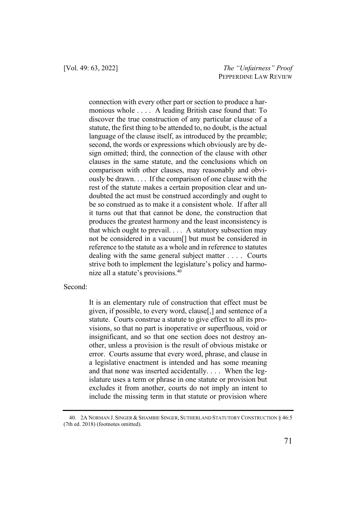connection with every other part or section to produce a harmonious whole . . . . A leading British case found that: To discover the true construction of any particular clause of a statute, the first thing to be attended to, no doubt, is the actual language of the clause itself, as introduced by the preamble; second, the words or expressions which obviously are by design omitted; third, the connection of the clause with other clauses in the same statute, and the conclusions which on comparison with other clauses, may reasonably and obviously be drawn. . . . If the comparison of one clause with the rest of the statute makes a certain proposition clear and undoubted the act must be construed accordingly and ought to be so construed as to make it a consistent whole. If after all it turns out that that cannot be done, the construction that produces the greatest harmony and the least inconsistency is that which ought to prevail. . . . A statutory subsection may not be considered in a vacuum[] but must be considered in reference to the statute as a whole and in reference to statutes dealing with the same general subject matter . . . . Courts strive both to implement the legislature's policy and harmonize all a statute's provisions.40

# Second:

It is an elementary rule of construction that effect must be given, if possible, to every word, clause[,] and sentence of a statute. Courts construe a statute to give effect to all its provisions, so that no part is inoperative or superfluous, void or insignificant, and so that one section does not destroy another, unless a provision is the result of obvious mistake or error. Courts assume that every word, phrase, and clause in a legislative enactment is intended and has some meaning and that none was inserted accidentally. . . . When the legislature uses a term or phrase in one statute or provision but excludes it from another, courts do not imply an intent to include the missing term in that statute or provision where

<sup>40.</sup> 2A NORMAN J. SINGER & SHAMBIE SINGER, SUTHERLAND STATUTORY CONSTRUCTION § 46:5 (7th ed. 2018) (footnotes omitted).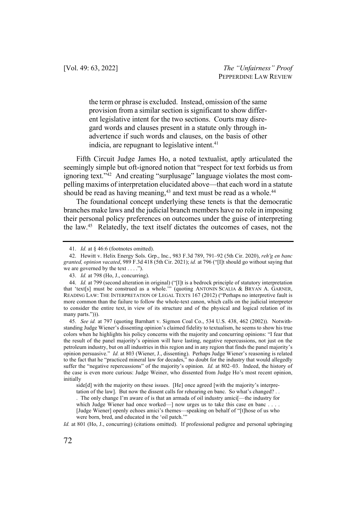the term or phrase is excluded. Instead, omission of the same provision from a similar section is significant to show different legislative intent for the two sections. Courts may disregard words and clauses present in a statute only through inadvertence if such words and clauses, on the basis of other indicia, are repugnant to legislative intent.<sup>41</sup>

Fifth Circuit Judge James Ho, a noted textualist, aptly articulated the seemingly simple but oft-ignored notion that "respect for text forbids us from ignoring text."<sup>42</sup> And creating "surplusage" language violates the most compelling maxims of interpretation elucidated above—that each word in a statute should be read as having meaning,<sup>43</sup> and text must be read as a whole.<sup>44</sup>

The foundational concept underlying these tenets is that the democratic branches make laws and the judicial branch members have no role in imposing their personal policy preferences on outcomes under the guise of interpreting the law.45 Relatedly, the text itself dictates the outcomes of cases, not the

<sup>41.</sup> *Id.* at § 46:6 (footnotes omitted).

<sup>42.</sup> Hewitt v. Helix Energy Sols. Grp., Inc., 983 F.3d 789, 791–92 (5th Cir. 2020), *reh'g en banc granted, opinion vacated*, 989 F.3d 418 (5th Cir. 2021); *id.* at 796 ("[I]t should go without saying that we are governed by the text  $\dots$ .").

<sup>43.</sup> *Id.* at 798 (Ho, J., concurring).

<sup>44.</sup> *Id.* at 799 (second alteration in original) ("[I]t is a bedrock principle of statutory interpretation that 'text[s] must be construed as a whole.'" (quoting ANTONIN SCALIA & BRYAN A. GARNER, READING LAW: THE INTERPRETATION OF LEGAL TEXTS 167 (2012) ("Perhaps no interpretive fault is more common than the failure to follow the whole-text canon, which calls on the judicial interpreter to consider the entire text, in view of its structure and of the physical and logical relation of its many parts."))).

<sup>45.</sup> *See id.* at 797 (quoting Barnhart v. Sigmon Coal Co., 534 U.S. 438, 462 (2002)). Notwithstanding Judge Wiener's dissenting opinion's claimed fidelity to textualism, he seems to show his true colors when he highlights his policy concerns with the majority and concurring opinions: "I fear that the result of the panel majority's opinion will have lasting, negative repercussions, not just on the petroleum industry, but on all industries in this region and in any region that finds the panel majority's opinion persuasive." *Id.* at 803 (Wiener, J., dissenting).Perhaps Judge Wiener's reasoning is related to the fact that he "practiced mineral law for decades," no doubt for the industry that would allegedly suffer the "negative repercussions" of the majority's opinion. *Id.* at 802–03.Indeed, the history of the case is even more curious: Judge Weiner, who dissented from Judge Ho's most recent opinion, initially

side[d] with the majority on these issues. [He] once agreed [with the majority's interpre-

tation of the law]. But now the dissent calls for rehearing en banc. So what's changed? . .

<sup>.</sup> The only change I'm aware of is that an armada of oil industry amici[—the industry for which Judge Wiener had once worked—] now urges us to take this case en banc . . . .

<sup>[</sup>Judge Wiener] openly echoes amici's themes—speaking on behalf of "[t]hose of us who were born, bred, and educated in the 'oil patch.'"

*Id.* at 801 (Ho, J., concurring) (citations omitted). If professional pedigree and personal upbringing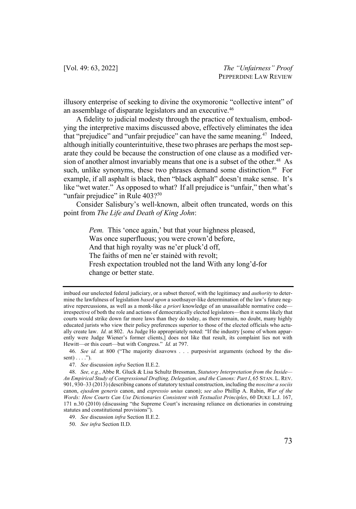illusory enterprise of seeking to divine the oxymoronic "collective intent" of an assemblage of disparate legislators and an executive.<sup>46</sup>

A fidelity to judicial modesty through the practice of textualism, embodying the interpretive maxims discussed above, effectively eliminates the idea that "prejudice" and "unfair prejudice" can have the same meaning.<sup>47</sup> Indeed, although initially counterintuitive, these two phrases are perhaps the most separate they could be because the construction of one clause as a modified version of another almost invariably means that one is a subset of the other.<sup>48</sup> As such, unlike synonyms, these two phrases demand some distinction.<sup>49</sup> For example, if all asphalt is black, then "black asphalt" doesn't make sense. It's like "wet water." As opposed to what? If all prejudice is "unfair," then what's "unfair prejudice" in Rule 403?<sup>50</sup>

Consider Salisbury's well-known, albeit often truncated, words on this point from *The Life and Death of King John*:

> *Pem.* This 'once again,' but that your highness pleased, Was once superfluous; you were crown'd before, And that high royalty was ne'er pluck'd off, The faiths of men ne'er stainèd with revolt; Fresh expectation troubled not the land With any long'd-for change or better state.

imbued our unelected federal judiciary, or a subset thereof, with the legitimacy and *authority* to determine the lawfulness of legislation *based upon* a soothsayer-like determination of the law's future negative repercussions, as well as a monk-like *a priori* knowledge of an unassailable normative code irrespective of both the role and actions of democratically elected legislators—then it seems likely that courts would strike down far more laws than they do today, as there remain, no doubt, many highly educated jurists who view their policy preferences superior to those of the elected officials who actually create law. *Id.* at 802.As Judge Ho appropriately noted: "If the industry [some of whom apparently were Judge Wiener's former clients,] does not like that result, its complaint lies not with Hewitt—or this court—but with Congress." *Id.* at 797.

<sup>46.</sup> *See id.* at 800 ("The majority disavows . . . purposivist arguments (echoed by the dissent $) \ldots$ .").

<sup>47.</sup> *See* discussion *infra* Section II.E.2.

<sup>48.</sup> *See, e.g.*, Abbe R. Gluck & Lisa Schultz Bressman, *Statutory Interpretation from the Inside— An Empirical Study of Congressional Drafting, Delegation, and the Canons: Part I*, 65 STAN. L. REV. 901, 930–33 (2013) (describing canons of statutory textual construction, including the *noscitur a sociis*  canon, *ejusdem generis* canon, and *expressio unius* canon); *see also* Phillip A. Rubin, *War of the Words: How Courts Can Use Dictionaries Consistent with Textualist Principles*, 60 DUKE L.J. 167, 171 n.30 (2010) (discussing "the Supreme Court's increasing reliance on dictionaries in construing statutes and constitutional provisions").

<sup>49.</sup> *See* discussion *infra* Section II.E.2.

<sup>50.</sup> *See infra* Section II.D.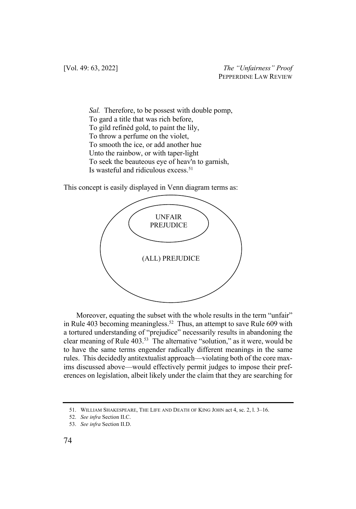*Sal.* Therefore, to be possest with double pomp, To gard a title that was rich before, To gild refinèd gold, to paint the lily, To throw a perfume on the violet, To smooth the ice, or add another hue Unto the rainbow, or with taper-light To seek the beauteous eye of heav'n to garnish, Is wasteful and ridiculous excess.<sup>51</sup>

This concept is easily displayed in Venn diagram terms as:



Moreover, equating the subset with the whole results in the term "unfair" in Rule 403 becoming meaningless.<sup>52</sup> Thus, an attempt to save Rule 609 with a tortured understanding of "prejudice" necessarily results in abandoning the clear meaning of Rule  $403<sup>53</sup>$ . The alternative "solution," as it were, would be to have the same terms engender radically different meanings in the same rules. This decidedly antitextualist approach—violating both of the core maxims discussed above—would effectively permit judges to impose their preferences on legislation, albeit likely under the claim that they are searching for

<sup>51.</sup> WILLIAM SHAKESPEARE, THE LIFE AND DEATH OF KING JOHN act 4, sc. 2, l. 3–16.

<sup>52.</sup> *See infra* Section II.C.

<sup>53.</sup> *See infra* Section II.D.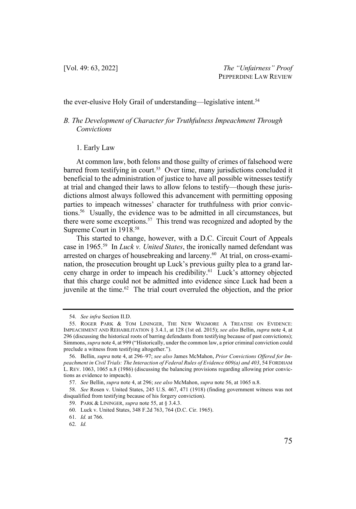the ever-elusive Holy Grail of understanding—legislative intent.<sup>54</sup>

# *B. The Development of Character for Truthfulness Impeachment Through Convictions*

#### 1. Early Law

At common law, both felons and those guilty of crimes of falsehood were barred from testifying in court.<sup>55</sup> Over time, many jurisdictions concluded it beneficial to the administration of justice to have all possible witnesses testify at trial and changed their laws to allow felons to testify—though these jurisdictions almost always followed this advancement with permitting opposing parties to impeach witnesses' character for truthfulness with prior convictions.56 Usually, the evidence was to be admitted in all circumstances, but there were some exceptions.<sup>57</sup> This trend was recognized and adopted by the Supreme Court in 1918.58

This started to change, however, with a D.C. Circuit Court of Appeals case in 1965.59 In *Luck v. United States*, the ironically named defendant was arrested on charges of housebreaking and larceny.<sup>60</sup> At trial, on cross-examination, the prosecution brought up Luck's previous guilty plea to a grand larceny charge in order to impeach his credibility.61 Luck's attorney objected that this charge could not be admitted into evidence since Luck had been a juvenile at the time. $62$  The trial court overruled the objection, and the prior

<sup>54.</sup> *See infra* Section II.D.

<sup>55.</sup> ROGER PARK & TOM LININGER, THE NEW WIGMORE A TREATISE ON EVIDENCE: IMPEACHMENT AND REHABILITATION § 3.4.1, at 128 (1st ed. 2015); *see also* Bellin, *supra* note 4, at 296 (discussing the historical roots of barring defendants from testifying because of past convictions); Simmons, *supra* note 4, at 999 ("Historically, under the common law, a prior criminal conviction could preclude a witness from testifying altogether.").

<sup>56.</sup> Bellin, *supra* note 4, at 296–97; *see also* James McMahon, *Prior Convictions Offered for Impeachment in Civil Trials: The Interaction of Federal Rules of Evidence 609(a) and 403*, 54 FORDHAM L. REV. 1063, 1065 n.8 (1986) (discussing the balancing provisions regarding allowing prior convictions as evidence to impeach).

<sup>57.</sup> *See* Bellin, *supra* note 4, at 296; *see also* McMahon, *supra* note 56, at 1065 n.8.

<sup>58.</sup> *See* Rosen v. United States, 245 U.S. 467, 471 (1918) (finding government witness was not disqualified from testifying because of his forgery conviction).

<sup>59.</sup> PARK & LININGER, *supra* note 55, at § 3.4.3.

<sup>60.</sup> Luck v. United States, 348 F.2d 763, 764 (D.C. Cir. 1965).

<sup>61.</sup> *Id.* at 766.

<sup>62.</sup> *Id.*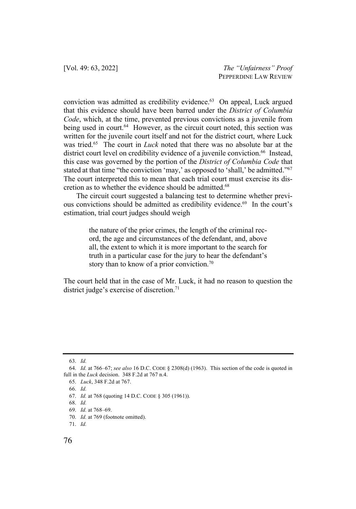conviction was admitted as credibility evidence.<sup>63</sup> On appeal, Luck argued that this evidence should have been barred under the *District of Columbia Code*, which, at the time, prevented previous convictions as a juvenile from being used in court.<sup>64</sup> However, as the circuit court noted, this section was written for the juvenile court itself and not for the district court, where Luck was tried.65 The court in *Luck* noted that there was no absolute bar at the district court level on credibility evidence of a juvenile conviction.<sup>66</sup> Instead, this case was governed by the portion of the *District of Columbia Code* that stated at that time "the conviction 'may,' as opposed to 'shall,' be admitted."<sup>67</sup> The court interpreted this to mean that each trial court must exercise its discretion as to whether the evidence should be admitted.68

The circuit court suggested a balancing test to determine whether previous convictions should be admitted as credibility evidence.<sup>69</sup> In the court's estimation, trial court judges should weigh

> the nature of the prior crimes, the length of the criminal record, the age and circumstances of the defendant, and, above all, the extent to which it is more important to the search for truth in a particular case for the jury to hear the defendant's story than to know of a prior conviction.<sup>70</sup>

The court held that in the case of Mr. Luck, it had no reason to question the district judge's exercise of discretion.<sup>71</sup>

70. *Id.* at 769 (footnote omitted).

<sup>63.</sup> *Id.* 

<sup>64.</sup> *Id.* at 766–67; *see also* 16 D.C. CODE § 2308(d) (1963). This section of the code is quoted in full in the *Luck* decision. 348 F.2d at 767 n.4.

<sup>65.</sup> *Luck*, 348 F.2d at 767.

<sup>66.</sup> *Id.*

<sup>67.</sup> *Id.* at 768 (quoting 14 D.C. CODE § 305 (1961)).

<sup>68.</sup> *Id.* 

<sup>69.</sup> *Id.* at 768–69.

<sup>71.</sup> *Id.*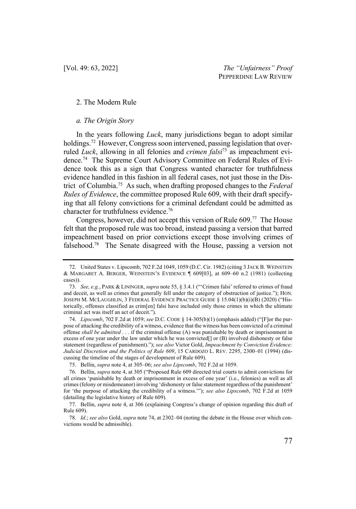#### 2. The Modern Rule

#### *a. The Origin Story*

In the years following *Luck*, many jurisdictions began to adopt similar holdings.<sup>72</sup> However, Congress soon intervened, passing legislation that overruled *Luck*, allowing in all felonies and *crimen falsi*<sup>73</sup> as impeachment evidence.74 The Supreme Court Advisory Committee on Federal Rules of Evidence took this as a sign that Congress wanted character for truthfulness evidence handled in this fashion in all federal cases, not just those in the District of Columbia. 75 As such, when drafting proposed changes to the *Federal Rules of Evidence*, the committee proposed Rule 609, with their draft specifying that all felony convictions for a criminal defendant could be admitted as character for truthfulness evidence.<sup>76</sup>

Congress, however, did not accept this version of Rule  $609$ .<sup>77</sup> The House felt that the proposed rule was too broad, instead passing a version that barred impeachment based on prior convictions except those involving crimes of falsehood.78 The Senate disagreed with the House, passing a version not

<sup>72.</sup> United States v. Lipscomb, 702 F.2d 1049, 1059 (D.C. Cir. 1982) (citing 3 JACK B. WEINSTEIN & MARGARET A. BERGER, WEINSTEIN'S EVIDENCE  $\parallel$  609[03], at 609–60 n.2 (1981) (collecting cases)).

<sup>73.</sup> *See, e.g.*, PARK & LININGER, *supra* note 55, § 3.4.1 ("'Crimen falsi' referred to crimes of fraud and deceit, as well as crimes that generally fell under the category of obstruction of justice."); HON. JOSEPH M. MCLAUGHLIN, 3 FEDERAL EVIDENCE PRACTICE GUIDE § 15.04(1)(b)(i)(B) (2020) ("Historically, offenses classified as crim[en] falsi have included only those crimes in which the ultimate criminal act was itself an act of deceit.").

<sup>74.</sup> *Lipscomb*, 702 F.2d at 1059; *see* D.C. CODE § 14-305(b)(1) (emphasis added) ("[F]or the purpose of attacking the credibility of a witness, evidence that the witness has been convicted of a criminal offense *shall be admitted* . . . if the criminal offense (A) was punishable by death or imprisonment in excess of one year under the law under which he was convicted[] or (B) involved dishonesty or false statement (regardless of punishment)."); *see also* Victor Gold, *Impeachment by Conviction Evidence: Judicial Discretion and the Politics of Rule 609*, 15 CARDOZO L. REV. 2295, 2300–01 (1994) (discussing the timeline of the stages of development of Rule 609).

<sup>75.</sup> Bellin, *supra* note 4, at 305–06; *see also Lipscomb*, 702 F.2d at 1059.

<sup>76.</sup> Bellin, *supra* note 4, at 305 ("Proposed Rule 609 directed trial courts to admit convictions for all crimes 'punishable by death or imprisonment in excess of one year' (i.e., felonies) as well as all crimes (felony or misdemeanor) involving 'dishonesty or false statement regardless of the punishment' for 'the purpose of attacking the credibility of a witness.'"); *see also Lipscomb*, 702 F.2d at 1059 (detailing the legislative history of Rule 609).

<sup>77.</sup> Bellin, *supra* note 4, at 306 (explaining Congress's change of opinion regarding this draft of Rule 609).

<sup>78.</sup> *Id.*; *see also* Gold, *supra* note 74, at 2302–04 (noting the debate in the House over which convictions would be admissible).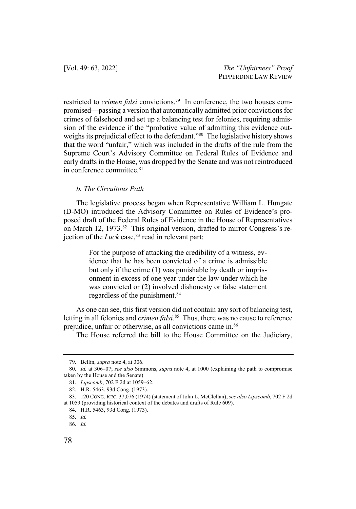restricted to *crimen falsi* convictions.<sup>79</sup> In conference, the two houses compromised—passing a version that automatically admitted prior convictions for crimes of falsehood and set up a balancing test for felonies, requiring admission of the evidence if the "probative value of admitting this evidence outweighs its prejudicial effect to the defendant."<sup>80</sup> The legislative history shows that the word "unfair," which was included in the drafts of the rule from the Supreme Court's Advisory Committee on Federal Rules of Evidence and early drafts in the House, was dropped by the Senate and was not reintroduced in conference committee.<sup>81</sup>

## *b. The Circuitous Path*

The legislative process began when Representative William L. Hungate (D-MO) introduced the Advisory Committee on Rules of Evidence's proposed draft of the Federal Rules of Evidence in the House of Representatives on March 12, 1973.<sup>82</sup> This original version, drafted to mirror Congress's rejection of the  $Luck$  case,  $83$  read in relevant part:

> For the purpose of attacking the credibility of a witness, evidence that he has been convicted of a crime is admissible but only if the crime (1) was punishable by death or imprisonment in excess of one year under the law under which he was convicted or (2) involved dishonesty or false statement regardless of the punishment.<sup>84</sup>

As one can see, this first version did not contain any sort of balancing test, letting in all felonies and *crimen falsi*. 85 Thus, there was no cause to reference prejudice, unfair or otherwise, as all convictions came in.86

The House referred the bill to the House Committee on the Judiciary,

<sup>79.</sup> Bellin, *supra* note 4, at 306.

<sup>80.</sup> *Id.* at 306–07; *see also* Simmons, *supra* note 4, at 1000 (explaining the path to compromise taken by the House and the Senate).

<sup>81.</sup> *Lipscomb*, 702 F.2d at 1059–62.

<sup>82.</sup> H.R. 5463, 93d Cong. (1973).

<sup>83.</sup> 120 CONG. REC. 37,076 (1974) (statement of John L. McClellan); *see also Lipscomb*, 702 F.2d at 1059 (providing historical context of the debates and drafts of Rule 609).

<sup>84.</sup> H.R. 5463, 93d Cong. (1973).

<sup>85.</sup> *Id.*

<sup>86.</sup> *Id.*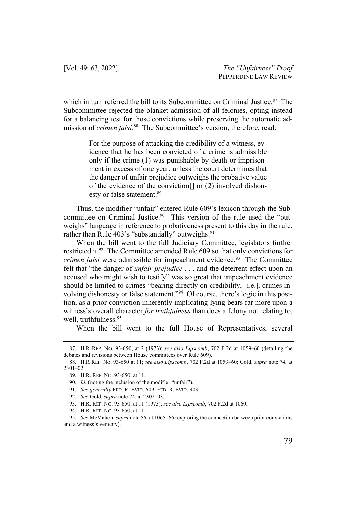which in turn referred the bill to its Subcommittee on Criminal Justice.<sup>87</sup> The Subcommittee rejected the blanket admission of all felonies, opting instead for a balancing test for those convictions while preserving the automatic admission of *crimen falsi*. 88 The Subcommittee's version, therefore, read:

> For the purpose of attacking the credibility of a witness, evidence that he has been convicted of a crime is admissible only if the crime (1) was punishable by death or imprisonment in excess of one year, unless the court determines that the danger of unfair prejudice outweighs the probative value of the evidence of the conviction[] or (2) involved dishonesty or false statement.<sup>89</sup>

Thus, the modifier "unfair" entered Rule 609's lexicon through the Subcommittee on Criminal Justice.<sup>90</sup> This version of the rule used the "outweighs" language in reference to probativeness present to this day in the rule, rather than Rule  $403$ 's "substantially" outweighs.<sup>91</sup>

When the bill went to the full Judiciary Committee, legislators further restricted it.92 The Committee amended Rule 609 so that only convictions for *crimen falsi* were admissible for impeachment evidence.<sup>93</sup> The Committee felt that "the danger of *unfair prejudice* . . . and the deterrent effect upon an accused who might wish to testify" was so great that impeachment evidence should be limited to crimes "bearing directly on credibility, [i.e.], crimes involving dishonesty or false statement."94 Of course, there's logic in this position, as a prior conviction inherently implicating lying bears far more upon a witness's overall character *for truthfulness* than does a felony not relating to, well, truthfulness.<sup>95</sup>

When the bill went to the full House of Representatives, several

<sup>87.</sup> H.R REP. NO. 93-650, at 2 (1973); *see also Lipscomb*, 702 F.2d at 1059–60 (detailing the debates and revisions between House committees over Rule 609).

<sup>88.</sup> H.R REP. No. 93-650 at 11; *see also Lipscomb*, 702 F.2d at 1059–60; Gold, *supra* note 74, at 2301–02.

<sup>89.</sup> H.R. REP. NO. 93-650, at 11.

<sup>90.</sup> *Id.* (noting the inclusion of the modifier "unfair").

<sup>91.</sup> *See generally* FED. R. EVID. 609; FED. R. EVID. 403.

<sup>92.</sup> *See* Gold, *supra* note 74, at 2302–03.

<sup>93.</sup> H.R. REP. NO. 93-650, at 11 (1973); *see also Lipscomb*, 702 F.2d at 1060.

<sup>94.</sup> H.R. REP. NO. 93-650, at 11.

<sup>95.</sup> *See* McMahon, *supra* note 56, at 1065–66 (exploring the connection between prior convictions and a witness's veracity).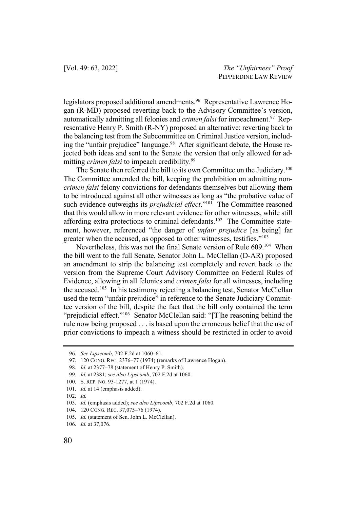legislators proposed additional amendments.<sup>96</sup> Representative Lawrence Hogan (R-MD) proposed reverting back to the Advisory Committee's version, automatically admitting all felonies and *crimen falsi* for impeachment.<sup>97</sup> Representative Henry P. Smith (R-NY) proposed an alternative: reverting back to the balancing test from the Subcommittee on Criminal Justice version, including the "unfair prejudice" language.<sup>98</sup> After significant debate, the House rejected both ideas and sent to the Senate the version that only allowed for admitting *crimen falsi* to impeach credibility. 99

The Senate then referred the bill to its own Committee on the Judiciary.<sup>100</sup> The Committee amended the bill, keeping the prohibition on admitting non*crimen falsi* felony convictions for defendants themselves but allowing them to be introduced against all other witnesses as long as "the probative value of such evidence outweighs its *prejudicial effect*."<sup>101</sup> The Committee reasoned that this would allow in more relevant evidence for other witnesses, while still affording extra protections to criminal defendants.<sup>102</sup> The Committee statement, however, referenced "the danger of *unfair prejudice* [as being] far greater when the accused, as opposed to other witnesses, testifies."103

Nevertheless, this was not the final Senate version of Rule 609.<sup>104</sup> When the bill went to the full Senate, Senator John L. McClellan (D-AR) proposed an amendment to strip the balancing test completely and revert back to the version from the Supreme Court Advisory Committee on Federal Rules of Evidence, allowing in all felonies and *crimen falsi* for all witnesses, including the accused.105 In his testimony rejecting a balancing test, Senator McClellan used the term "unfair prejudice" in reference to the Senate Judiciary Committee version of the bill, despite the fact that the bill only contained the term "prejudicial effect."<sup>106</sup> Senator McClellan said: "[T]he reasoning behind the rule now being proposed . . . is based upon the erroneous belief that the use of prior convictions to impeach a witness should be restricted in order to avoid

- 101. *Id.* at 14 (emphasis added).
- 102. *Id.*

<sup>96.</sup> *See Lipscomb*, 702 F.2d at 1060–61.

<sup>97.</sup> 120 CONG. REC. 2376–77 (1974) (remarks of Lawrence Hogan).

<sup>98.</sup> *Id.* at 2377–78 (statement of Henry P. Smith).

<sup>99.</sup> *Id.* at 2381; *see also Lipscomb*, 702 F.2d at 1060.

<sup>100.</sup> S. REP. NO. 93-1277, at 1 (1974).

<sup>103.</sup> *Id.* (emphasis added); *see also Lipscomb*, 702 F.2d at 1060.

<sup>104.</sup> 120 CONG. REC. 37,075–76 (1974).

<sup>105.</sup> *Id.* (statement of Sen. John L. McClellan).

<sup>106.</sup> *Id.* at 37,076.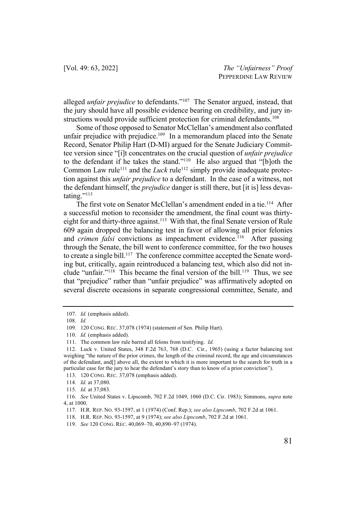alleged *unfair prejudice* to defendants."107 The Senator argued, instead, that the jury should have all possible evidence bearing on credibility, and jury instructions would provide sufficient protection for criminal defendants.<sup>108</sup>

Some of those opposed to Senator McClellan's amendment also conflated unfair prejudice with prejudice.<sup>109</sup> In a memorandum placed into the Senate Record, Senator Philip Hart (D-MI) argued for the Senate Judiciary Committee version since "[i]t concentrates on the crucial question of *unfair prejudice* to the defendant if he takes the stand."110 He also argued that "[b]oth the Common Law rule<sup>111</sup> and the *Luck* rule<sup>112</sup> simply provide inadequate protection against this *unfair prejudice* to a defendant. In the case of a witness, not the defendant himself, the *prejudice* danger is still there, but [it is] less devastating."<sup>113</sup>

The first vote on Senator McClellan's amendment ended in a tie.<sup>114</sup> After a successful motion to reconsider the amendment, the final count was thirtyeight for and thirty-three against.<sup>115</sup> With that, the final Senate version of Rule 609 again dropped the balancing test in favor of allowing all prior felonies and *crimen falsi* convictions as impeachment evidence.<sup>116</sup> After passing through the Senate, the bill went to conference committee, for the two houses to create a single bill.<sup>117</sup> The conference committee accepted the Senate wording but, critically, again reintroduced a balancing test, which also did not include "unfair."<sup>118</sup> This became the final version of the bill.<sup>119</sup> Thus, we see that "prejudice" rather than "unfair prejudice" was affirmatively adopted on several discrete occasions in separate congressional committee, Senate, and

<sup>107.</sup> *Id.* (emphasis added).

<sup>108.</sup> *Id.*

<sup>109.</sup> 120 CONG. REC. 37,078 (1974) (statement of Sen. Philip Hart).

<sup>110.</sup> *Id.* (emphasis added).

<sup>111.</sup> The common law rule barred all felons from testifying. *Id.*

<sup>112.</sup> Luck v. United States, 348 F.2d 763, 768 (D.C. Cir., 1965) (using a factor balancing test weighing "the nature of the prior crimes, the length of the criminal record, the age and circumstances of the defendant, and[] above all, the extent to which it is more important to the search for truth in a particular case for the jury to hear the defendant's story than to know of a prior conviction").

<sup>113.</sup> 120 CONG. REC. 37,078 (emphasis added).

<sup>114.</sup> *Id.* at 37,080.

<sup>115.</sup> *Id.* at 37,083.

<sup>116.</sup> *See* United States v. Lipscomb, 702 F.2d 1049, 1060 (D.C. Cir. 1983); Simmons, *supra* note 4, at 1000.

<sup>117.</sup> H.R. REP. NO. 93-1597, at 1 (1974) (Conf. Rep.); *see also Lipscomb*, 702 F.2d at 1061.

<sup>118.</sup> H.R. REP. NO. 93-1597, at 9 (1974); *see also Lipscomb*, 702 F.2d at 1061.

<sup>119.</sup> *See* 120 CONG. REC. 40,069–70, 40,890–97 (1974).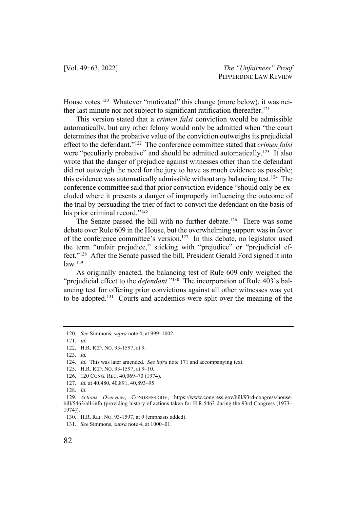House votes.<sup>120</sup> Whatever "motivated" this change (more below), it was neither last minute nor not subject to significant ratification thereafter.<sup>121</sup>

This version stated that a *crimen falsi* conviction would be admissible automatically, but any other felony would only be admitted when "the court determines that the probative value of the conviction outweighs its prejudicial effect to the defendant."122 The conference committee stated that *crimen falsi* were "peculiarly probative" and should be admitted automatically.<sup>123</sup> It also wrote that the danger of prejudice against witnesses other than the defendant did not outweigh the need for the jury to have as much evidence as possible; this evidence was automatically admissible without any balancing test.124 The conference committee said that prior conviction evidence "should only be excluded where it presents a danger of improperly influencing the outcome of the trial by persuading the trier of fact to convict the defendant on the basis of his prior criminal record."<sup>125</sup>

The Senate passed the bill with no further debate.<sup>126</sup> There was some debate over Rule 609 in the House, but the overwhelming support was in favor of the conference committee's version.<sup>127</sup> In this debate, no legislator used the term "unfair prejudice," sticking with "prejudice" or "prejudicial effect."128 After the Senate passed the bill, President Gerald Ford signed it into law.129

As originally enacted, the balancing test of Rule 609 only weighed the "prejudicial effect to the *defendant*."130 The incorporation of Rule 403's balancing test for offering prior convictions against all other witnesses was yet to be adopted.131 Courts and academics were split over the meaning of the

<sup>120.</sup> *See* Simmons, *supra* note 4, at 999–1002.

<sup>121.</sup> *Id.*

<sup>122.</sup> H.R. REP. NO. 93-1597, at 9.

<sup>123.</sup> *Id.*

<sup>124.</sup> *Id.* This was later amended. *See infra* note 171 and accompanying text.

<sup>125.</sup> H.R. REP. NO. 93-1597, at 9–10.

<sup>126.</sup> 120 CONG. REC. 40,069–70 (1974).

<sup>127.</sup> *Id.* at 40,480, 40,891, 40,893–95.

<sup>128.</sup> *Id.*

<sup>129.</sup> *Actions Overview*, CONGRESS.GOV, https://www.congress.gov/bill/93rd-congress/housebill/5463/all-info (providing history of actions taken for H.R.5463 during the 93rd Congress (1973– 1974)).

<sup>130.</sup> H.R. REP. NO. 93-1597, at 9 (emphasis added).

<sup>131.</sup> *See* Simmons, *supra* note 4, at 1000–01.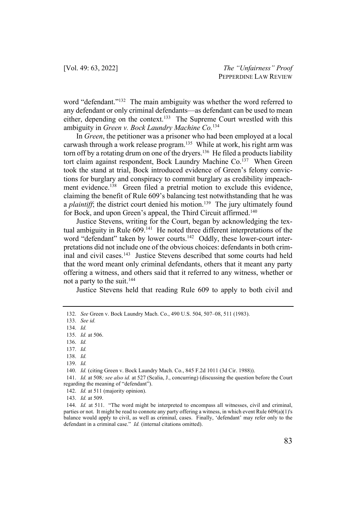word "defendant."<sup>132</sup> The main ambiguity was whether the word referred to any defendant or only criminal defendants—as defendant can be used to mean either, depending on the context.<sup>133</sup> The Supreme Court wrestled with this ambiguity in *Green v. Bock Laundry Machine Co.*<sup>134</sup>

In *Green*, the petitioner was a prisoner who had been employed at a local carwash through a work release program.<sup>135</sup> While at work, his right arm was torn off by a rotating drum on one of the dryers.<sup>136</sup> He filed a products liability tort claim against respondent, Bock Laundry Machine Co.<sup>137</sup> When Green took the stand at trial, Bock introduced evidence of Green's felony convictions for burglary and conspiracy to commit burglary as credibility impeachment evidence.<sup>138</sup> Green filed a pretrial motion to exclude this evidence, claiming the benefit of Rule 609's balancing test notwithstanding that he was a *plaintiff*; the district court denied his motion.<sup>139</sup> The jury ultimately found for Bock, and upon Green's appeal, the Third Circuit affirmed.<sup>140</sup>

Justice Stevens, writing for the Court, began by acknowledging the textual ambiguity in Rule 609.<sup>141</sup> He noted three different interpretations of the word "defendant" taken by lower courts.<sup>142</sup> Oddly, these lower-court interpretations did not include one of the obvious choices: defendants in both criminal and civil cases.<sup>143</sup> Justice Stevens described that some courts had held that the word meant only criminal defendants, others that it meant any party offering a witness, and others said that it referred to any witness, whether or not a party to the suit.144

Justice Stevens held that reading Rule 609 to apply to both civil and

- 136. *Id.*
- 137. *Id.*
- 138. *Id.*
- 139. *Id.*

143. *Id.* at 509.

<sup>132.</sup> *See* Green v. Bock Laundry Mach. Co., 490 U.S. 504, 507–08, 511 (1983).

<sup>133.</sup> *See id.*

<sup>134.</sup> *Id.*

<sup>135.</sup> *Id.* at 506.

<sup>140.</sup> *Id.* (citing Green v. Bock Laundry Mach. Co., 845 F.2d 1011 (3d Cir. 1988)).

<sup>141.</sup> *Id.* at 508*; see also id.* at 527 (Scalia, J., concurring) (discussing the question before the Court regarding the meaning of "defendant").

<sup>142.</sup> *Id.* at 511 (majority opinion).

<sup>144.</sup> *Id.* at 511. "The word might be interpreted to encompass all witnesses, civil and criminal, parties or not. It might be read to connote any party offering a witness, in which event Rule 609(a)(1)'s balance would apply to civil, as well as criminal, cases. Finally, 'defendant' may refer only to the defendant in a criminal case." *Id.* (internal citations omitted).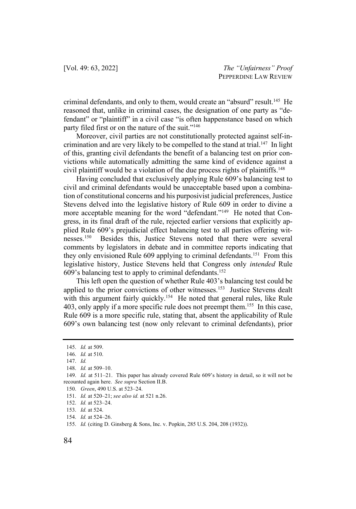criminal defendants, and only to them, would create an "absurd" result.145 He reasoned that, unlike in criminal cases, the designation of one party as "defendant" or "plaintiff" in a civil case "is often happenstance based on which party filed first or on the nature of the suit."<sup>146</sup>

Moreover, civil parties are not constitutionally protected against self-incrimination and are very likely to be compelled to the stand at trial.<sup>147</sup> In light of this, granting civil defendants the benefit of a balancing test on prior convictions while automatically admitting the same kind of evidence against a civil plaintiff would be a violation of the due process rights of plaintiffs.<sup>148</sup>

Having concluded that exclusively applying Rule 609's balancing test to civil and criminal defendants would be unacceptable based upon a combination of constitutional concerns and his purposivist judicial preferences, Justice Stevens delved into the legislative history of Rule 609 in order to divine a more acceptable meaning for the word "defendant."<sup>149</sup> He noted that Congress, in its final draft of the rule, rejected earlier versions that explicitly applied Rule 609's prejudicial effect balancing test to all parties offering witnesses.150 Besides this, Justice Stevens noted that there were several comments by legislators in debate and in committee reports indicating that they only envisioned Rule 609 applying to criminal defendants.151 From this legislative history, Justice Stevens held that Congress only *intended* Rule 609's balancing test to apply to criminal defendants.152

This left open the question of whether Rule 403's balancing test could be applied to the prior convictions of other witnesses.<sup>153</sup> Justice Stevens dealt with this argument fairly quickly.<sup>154</sup> He noted that general rules, like Rule 403, only apply if a more specific rule does not preempt them.<sup>155</sup> In this case, Rule 609 is a more specific rule, stating that, absent the applicability of Rule 609's own balancing test (now only relevant to criminal defendants), prior

<sup>145.</sup> *Id.* at 509.

<sup>146.</sup> *Id.* at 510.

<sup>147.</sup> *Id.*

<sup>148.</sup> *Id.* at 509–10.

<sup>149.</sup> *Id.* at 511–21. This paper has already covered Rule 609's history in detail, so it will not be recounted again here. *See supra* Section II.B.

<sup>150.</sup> *Green*, 490 U.S. at 523–24.

<sup>151.</sup> *Id.* at 520–21; *see also id.* at 521 n.26.

<sup>152.</sup> *Id.* at 523–24.

<sup>153.</sup> *Id.* at 524.

<sup>154.</sup> *Id.* at 524–26.

<sup>155.</sup> *Id.* (citing D. Ginsberg & Sons, Inc. v. Popkin, 285 U.S. 204, 208 (1932)).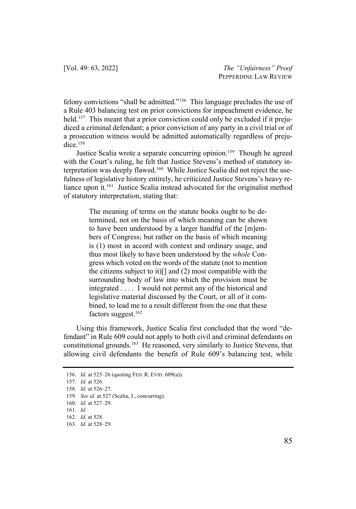felony convictions "shall be admitted."156 This language precludes the use of a Rule 403 balancing test on prior convictions for impeachment evidence, he held.<sup>157</sup> This meant that a prior conviction could only be excluded if it prejudiced a criminal defendant; a prior conviction of any party in a civil trial or of a prosecution witness would be admitted automatically regardless of prejudice.<sup>158</sup>

Justice Scalia wrote a separate concurring opinion.<sup>159</sup> Though he agreed with the Court's ruling, he felt that Justice Stevens's method of statutory interpretation was deeply flawed.<sup>160</sup> While Justice Scalia did not reject the usefulness of legislative history entirely, he criticized Justice Stevens's heavy reliance upon it.<sup>161</sup> Justice Scalia instead advocated for the originalist method of statutory interpretation, stating that:

> The meaning of terms on the statute books ought to be determined, not on the basis of which meaning can be shown to have been understood by a larger handful of the [m]embers of Congress; but rather on the basis of which meaning is (1) most in accord with context and ordinary usage, and thus most likely to have been understood by the *whole* Congress which voted on the words of the statute (not to mention the citizens subject to it)[] and (2) most compatible with the surrounding body of law into which the provision must be integrated . . . . I would not permit any of the historical and legislative material discussed by the Court, or all of it combined, to lead me to a result different from the one that these factors suggest.<sup>162</sup>

Using this framework, Justice Scalia first concluded that the word "defendant" in Rule 609 could not apply to both civil and criminal defendants on constitutional grounds.<sup>163</sup> He reasoned, very similarly to Justice Stevens, that allowing civil defendants the benefit of Rule 609's balancing test, while

<sup>156.</sup> *Id.* at 525–26 (quoting FED. R. EVID. 609(a)).

<sup>157.</sup> *Id.* at 526.

<sup>158.</sup> *Id.* at 526–27.

<sup>159.</sup> *See id.* at 527 (Scalia, J., concurring).

<sup>160.</sup> *Id.* at 527–29.

<sup>161.</sup> *Id.*

<sup>162.</sup> *Id.* at 528.

<sup>163.</sup> *Id.* at 528–29.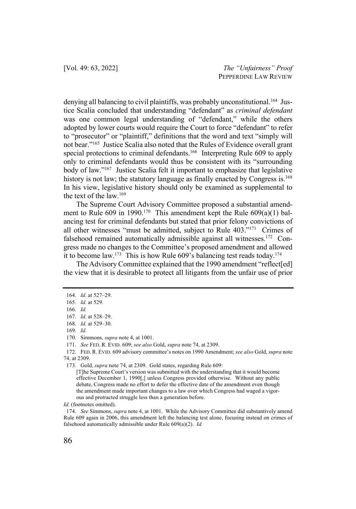denying all balancing to civil plaintiffs, was probably unconstitutional.<sup>164</sup> Justice Scalia concluded that understanding "defendant" as *criminal defendant* was one common legal understanding of "defendant," while the others adopted by lower courts would require the Court to force "defendant" to refer to "prosecutor" or "plaintiff," definitions that the word and text "simply will not bear."165 Justice Scalia also noted that the Rules of Evidence overall grant special protections to criminal defendants.<sup>166</sup> Interpreting Rule 609 to apply only to criminal defendants would thus be consistent with its "surrounding body of law."167 Justice Scalia felt it important to emphasize that legislative history is not law; the statutory language as finally enacted by Congress is.<sup>168</sup> In his view, legislative history should only be examined as supplemental to the text of the law.169

The Supreme Court Advisory Committee proposed a substantial amendment to Rule 609 in 1990.<sup>170</sup> This amendment kept the Rule  $609(a)(1)$  balancing test for criminal defendants but stated that prior felony convictions of all other witnesses "must be admitted, subject to Rule 403."171 Crimes of falsehood remained automatically admissible against all witnesses.<sup>172</sup> Congress made no changes to the Committee's proposed amendment and allowed it to become law.<sup>173</sup> This is how Rule 609's balancing test reads today.<sup>174</sup>

The Advisory Committee explained that the 1990 amendment "reflect[ed] the view that it is desirable to protect all litigants from the unfair use of prior

169. *Id.*

171. *See* FED. R. EVID. 609; *see also* Gold, *supra* note 74, at 2309.

172. FED. R. EVID. 609 advisory committee's notes on 1990 Amendment; *see also* Gold, *supra* note 74, at 2309.

*Id.* (footnotes omitted).

<sup>164.</sup> *Id*. at 527–29.

<sup>165.</sup> *Id.* at 529.

<sup>166.</sup> *Id.*

<sup>167.</sup> *Id.* at 528–29.

<sup>168.</sup> *Id.* at 529–30.

<sup>170.</sup> Simmons, *supra* note 4, at 1001.

<sup>173.</sup> Gold, *supra* note 74, at 2309. Gold states, regarding Rule 609:

<sup>[</sup>T]he Supreme Court's version was submitted with the understanding that it would become effective December 1, 1990[,] unless Congress provided otherwise. Without any public debate, Congress made no effort to defer the effective date of the amendment even though the amendment made important changes to a law over which Congress had waged a vigorous and protracted struggle less than a generation before.

<sup>174.</sup> *See* Simmons, *supra* note 4, at 1001. While the Advisory Committee did substantively amend Rule 609 again in 2006, this amendment left the balancing test alone, focusing instead on crimes of falsehood automatically admissible under Rule 609(a)(2). *Id.*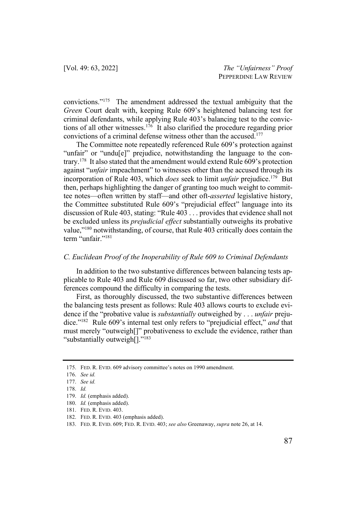convictions."175 The amendment addressed the textual ambiguity that the *Green* Court dealt with, keeping Rule 609's heightened balancing test for criminal defendants, while applying Rule 403's balancing test to the convictions of all other witnesses.176 It also clarified the procedure regarding prior convictions of a criminal defense witness other than the accused.<sup>177</sup>

The Committee note repeatedly referenced Rule 609's protection against "unfair" or "undu[e]" prejudice, notwithstanding the language to the contrary.<sup>178</sup> It also stated that the amendment would extend Rule 609's protection against "*unfair* impeachment" to witnesses other than the accused through its incorporation of Rule 403, which *does* seek to limit *unfair* prejudice.179 But then, perhaps highlighting the danger of granting too much weight to committee notes—often written by staff—and other oft-*asserted* legislative history, the Committee substituted Rule 609's "prejudicial effect" language into its discussion of Rule 403, stating: "Rule 403 . . . provides that evidence shall not be excluded unless its *prejudicial effect* substantially outweighs its probative value,"180 notwithstanding, of course, that Rule 403 critically does contain the term "unfair."<sup>181</sup>

#### *C. Euclidean Proof of the Inoperability of Rule 609 to Criminal Defendants*

In addition to the two substantive differences between balancing tests applicable to Rule 403 and Rule 609 discussed so far, two other subsidiary differences compound the difficulty in comparing the tests.

First, as thoroughly discussed, the two substantive differences between the balancing tests present as follows: Rule 403 allows courts to exclude evidence if the "probative value is *substantially* outweighed by . . . *unfair* prejudice."182 Rule 609's internal test only refers to "prejudicial effect," *and* that must merely "outweigh[]" probativeness to exclude the evidence, rather than "substantially outweigh[]."183

<sup>175.</sup> FED. R. EVID. 609 advisory committee's notes on 1990 amendment.

<sup>176.</sup> *See id.*

<sup>177.</sup> *See id.*

<sup>178.</sup> *Id.*

<sup>179.</sup> *Id.* (emphasis added).

<sup>180.</sup> *Id.* (emphasis added).

<sup>181.</sup> FED. R. EVID. 403.

<sup>182.</sup> FED. R. EVID. 403 (emphasis added).

<sup>183.</sup> FED. R. EVID. 609; FED. R. EVID. 403; *see also* Greenaway, *supra* note 26, at 14.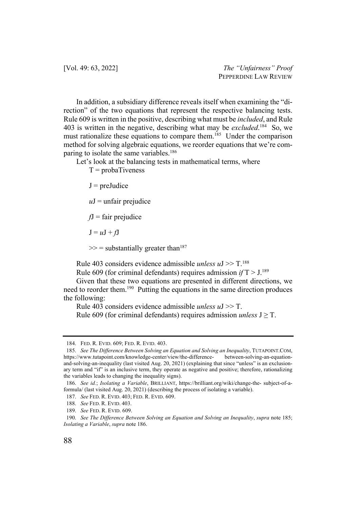In addition, a subsidiary difference reveals itself when examining the "direction" of the two equations that represent the respective balancing tests. Rule 609 is written in the positive, describing what must be *included*, and Rule 403 is written in the negative, describing what may be *excluded*. 184 So, we must rationalize these equations to compare them.<sup>185</sup> Under the comparison method for solving algebraic equations, we reorder equations that we're comparing to isolate the same variables.<sup>186</sup>

Let's look at the balancing tests in mathematical terms, where

 $T = probaTiveness$ 

 $J = preJudice$ 

 $uJ$  = unfair prejudice

*f*J = fair prejudice

 $J = uJ + fJ$ 

 $\gg$  = substantially greater than<sup>187</sup>

Rule 403 considers evidence admissible *unless u*J >> T. 188

Rule 609 (for criminal defendants) requires admission *if* T > J. 189

Given that these two equations are presented in different directions, we need to reorder them.190 Putting the equations in the same direction produces the following:

Rule 403 considers evidence admissible *unless u*J >> T.

Rule 609 (for criminal defendants) requires admission *unless*  $J \geq T$ .

<sup>184.</sup> FED. R. EVID. 609; FED. R. EVID. 403.

<sup>185.</sup> *See The Difference Between Solving an Equation and Solving an Inequality*, TUTAPOINT.COM, https://www.tutapoint.com/knowledge-center/view/the-difference- between-solving-an-equationand-solving-an-inequality (last visited Aug. 20, 2021) (explaining that since "unless" is an exclusionary term and "if" is an inclusive term, they operate as negative and positive; therefore, rationalizing the variables leads to changing the inequality signs).

<sup>186.</sup> *See id.*; *Isolating a Variable*, BRILLIANT, https://brilliant.org/wiki/change-the- subject-of-aformula/ (last visited Aug. 20, 2021) (describing the process of isolating a variable).

<sup>187.</sup> *See* FED. R. EVID. 403; FED. R. EVID. 609.

<sup>188.</sup> *See* FED. R. EVID. 403.

<sup>189.</sup> *See* FED. R. EVID. 609.

<sup>190.</sup> *See The Difference Between Solving an Equation and Solving an Inequality*, *supra* note 185; *Isolating a Variable*, *supra* note 186.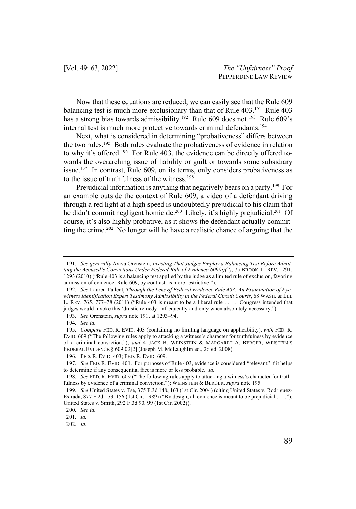Now that these equations are reduced, we can easily see that the Rule 609 balancing test is much more exclusionary than that of Rule 403.<sup>191</sup> Rule 403 has a strong bias towards admissibility.<sup>192</sup> Rule 609 does not.<sup>193</sup> Rule 609's internal test is much more protective towards criminal defendants.<sup>194</sup>

Next, what is considered in determining "probativeness" differs between the two rules.195 Both rules evaluate the probativeness of evidence in relation to why it's offered.<sup>196</sup> For Rule 403, the evidence can be directly offered towards the overarching issue of liability or guilt or towards some subsidiary issue.<sup>197</sup> In contrast, Rule 609, on its terms, only considers probativeness as to the issue of truthfulness of the witness.198

Prejudicial information is anything that negatively bears on a party.<sup>199</sup> For an example outside the context of Rule 609, a video of a defendant driving through a red light at a high speed is undoubtedly prejudicial to his claim that he didn't commit negligent homicide.<sup>200</sup> Likely, it's highly prejudicial.<sup>201</sup> Of course, it's also highly probative, as it shows the defendant actually committing the crime.<sup>202</sup> No longer will he have a realistic chance of arguing that the

<sup>191.</sup> *See generally* Aviva Orenstein*, Insisting That Judges Employ a Balancing Test Before Admitting the Accused's Convictions Under Federal Rule of Evidence 609(a)(2)*, 75 BROOK. L. REV. 1291, 1293 (2010) ("Rule 403 is a balancing test applied by the judge as a limited rule of exclusion, favoring admission of evidence; Rule 609, by contrast, is more restrictive.").

<sup>192.</sup> *See* Lauren Tallent, *Through the Lens of Federal Evidence Rule 403: An Examination of Eyewitness Identification Expert Testimony Admissibility in the Federal Circuit Courts*, 68 WASH. & LEE L. REV. 765, 777–78 (2011) ("Rule 403 is meant to be a liberal rule . . . . Congress intended that judges would invoke this 'drastic remedy' infrequently and only when absolutely necessary.").

<sup>193.</sup> *See* Orenstein, *supra* note 191, at 1293–94.

<sup>194.</sup> *See id.* 

<sup>195.</sup> *Compare* FED. R. EVID. 403 (containing no limiting language on applicability), *with* FED. R. EVID. 609 ("The following rules apply to attacking a witness's character for truthfulness by evidence of a criminal conviction."), *and* 4 JACK B. WEINSTEIN & MARGARET A. BERGER, WEISTEIN'S FEDERAL EVIDENCE § 609.02[2] (Joseph M. McLaughlin ed., 2d ed. 2008).

<sup>196.</sup> FED. R. EVID. 403; FED. R. EVID. 609.

<sup>197.</sup> *See* FED. R. EVID. 401. For purposes of Rule 403, evidence is considered "relevant" if it helps to determine if any consequential fact is more or less probable. *Id.* 

<sup>198.</sup> *See* FED. R. EVID. 609 ("The following rules apply to attacking a witness's character for truthfulness by evidence of a criminal conviction."); WEINSTEIN & BERGER, *supra* note 195.

<sup>199.</sup> *See* United States v. Tse, 375 F.3d 148, 163 (1st Cir. 2004) (citing United States v. Rodriguez-Estrada, 877 F.2d 153, 156 (1st Cir. 1989) ("By design, all evidence is meant to be prejudicial . . . ."); United States v. Smith, 292 F.3d 90, 99 (1st Cir. 2002)).

<sup>200.</sup> *See id.* 

<sup>201.</sup> *Id.*

<sup>202.</sup> *Id.*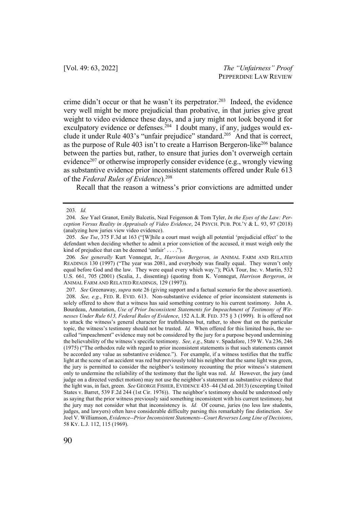crime didn't occur or that he wasn't its perpetrator.<sup>203</sup> Indeed, the evidence very well might be more prejudicial than probative, in that juries give great weight to video evidence these days, and a jury might not look beyond it for exculpatory evidence or defenses.<sup>204</sup> I doubt many, if any, judges would exclude it under Rule 403's "unfair prejudice" standard.205 And that is correct, as the purpose of Rule 403 isn't to create a Harrison Bergeron-like<sup>206</sup> balance between the parties but, rather, to ensure that juries don't overweigh certain evidence<sup>207</sup> or otherwise improperly consider evidence (e.g., wrongly viewing as substantive evidence prior inconsistent statements offered under Rule 613 of the *Federal Rules of Evidence*).208

Recall that the reason a witness's prior convictions are admitted under

<sup>203.</sup> *Id.*

<sup>204.</sup> *See* Yael Granot, Emily Balcetis, Neal Feigenson & Tom Tyler, *In the Eyes of the Law: Perception Versus Reality in Appraisals of Video Evidence*, 24 PSYCH. PUB. POL'Y & L. 93, 97 (2018) (analyzing how juries view video evidence).

<sup>205.</sup> *See Tse*, 375 F.3d at 163 ("[W]hile a court must weigh all potential 'prejudicial effect' to the defendant when deciding whether to admit a prior conviction of the accused, it must weigh only the kind of prejudice that can be deemed 'unfair'  $\dots$ ").

<sup>206</sup>*. See generally* Kurt Vonnegut, Jr., *Harrison Bergeron, in* ANIMAL FARM AND RELATED READINGS 130 (1997) ("The year was 2081, and everybody was finally equal. They weren't only equal before God and the law. They were equal every which way."); PGA Tour, Inc. v. Martin, 532 U.S. 661, 705 (2001) (Scalia, J., dissenting) (quoting from K. Vonnegut, *Harrison Bergeron*, *in* ANIMAL FARM AND RELATED READINGS, 129 (1997)).

<sup>207.</sup> *See* Greenaway, *supra* note 26 (giving support and a factual scenario for the above assertion). 208. *See, e.g.*, FED. R. EVID. 613. Non-substantive evidence of prior inconsistent statements is solely offered to show that a witness has said something contrary to his current testimony. John A. Bourdeau, Annotation, *Use of Prior Inconsistent Statements for Impeachment of Testimony of Witnesses Under Rule 613, Federal Rules of Evidence*, 152 A.L.R. FED. 375 § 3 (1999). It is offered not to attack the witness's general character for truthfulness but, rather, to show that on the particular topic, the witness's testimony should not be trusted. *Id.* When offered for this limited basis, the socalled "impeachment" evidence may not be considered by the jury for a purpose beyond undermining the believability of the witness's specific testimony. *See, e.g.*, State v. Spadafore, 159 W. Va 236, 246 (1975) ("The orthodox rule with regard to prior inconsistent statements is that such statements cannot be accorded any value as substantive evidence."). For example, if a witness testifies that the traffic light at the scene of an accident was red but previously told his neighbor that the same light was green, the jury is permitted to consider the neighbor's testimony recounting the prior witness's statement only to undermine the reliability of the testimony that the light was red. *Id.* However, the jury (and judge on a directed verdict motion) may not use the neighbor's statement as substantive evidence that the light was, in fact, green. *See* GEORGE FISHER, EVIDENCE 435–44 (3d ed. 2013) (excerpting United States v. Barret, 539 F.2d 244 (1st Cir. 1976)). The neighbor's testimony should be understood only as saying that the prior witness previously said something inconsistent with his current testimony, but the jury may not consider what that inconsistency is. *Id.* Of course, juries (no less law students, judges, and lawyers) often have considerable difficulty parsing this remarkably fine distinction. *See*  Joel V. Williamson, *Evidence--Prior Inconsistent Statements--Court Reverses Long Line of Decisions*, 58 KY. L.J. 112, 115 (1969).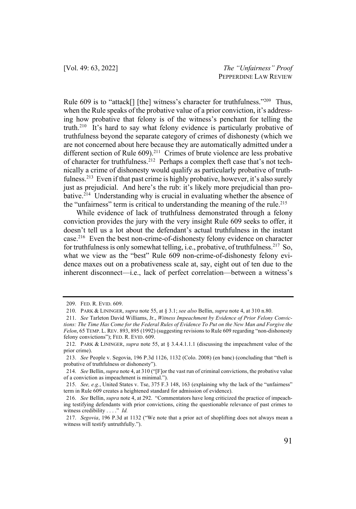Rule 609 is to "attack[] [the] witness's character for truthfulness."<sup>209</sup> Thus, when the Rule speaks of the probative value of a prior conviction, it's addressing how probative that felony is of the witness's penchant for telling the truth.210 It's hard to say what felony evidence is particularly probative of truthfulness beyond the separate category of crimes of dishonesty (which we are not concerned about here because they are automatically admitted under a different section of Rule 609).<sup>211</sup> Crimes of brute violence are less probative of character for truthfulness.<sup>212</sup> Perhaps a complex theft case that's not technically a crime of dishonesty would qualify as particularly probative of truthfulness.<sup>213</sup> Even if that past crime is highly probative, however, it's also surely just as prejudicial. And here's the rub: it's likely more prejudicial than probative.214 Understanding why is crucial in evaluating whether the absence of the "unfairness" term is critical to understanding the meaning of the rule.<sup>215</sup>

While evidence of lack of truthfulness demonstrated through a felony conviction provides the jury with the very insight Rule 609 seeks to offer, it doesn't tell us a lot about the defendant's actual truthfulness in the instant case.216 Even the best non-crime-of-dishonesty felony evidence on character for truthfulness is only somewhat telling, i.e., probative, of truthfulness.217 So, what we view as the "best" Rule 609 non-crime-of-dishonesty felony evidence maxes out on a probativeness scale at, say, eight out of ten due to the inherent disconnect—i.e., lack of perfect correlation—between a witness's

<sup>209.</sup> FED. R. EVID. 609.

<sup>210.</sup> PARK & LININGER, *supra* note 55, at § 3.1; *see also* Bellin, *supra* note 4, at 310 n.80.

<sup>211.</sup> *See* Tarleton David Williams, Jr., *Witness Impeachment by Evidence of Prior Felony Convictions: The Time Has Come for the Federal Rules of Evidence To Put on the New Man and Forgive the Felon*, 65 TEMP. L. REV. 893, 895 (1992) (suggesting revisions to Rule 609 regarding "non-dishonesty felony convictions"); FED. R. EVID. 609.

<sup>212.</sup> PARK & LININGER, *supra* note 55, at § 3.4.4.1.1.1 (discussing the impeachment value of the prior crime).

<sup>213.</sup> *See* People v. Segovia, 196 P.3d 1126, 1132 (Colo. 2008) (en banc) (concluding that "theft is probative of truthfulness or dishonesty").

<sup>214.</sup> *See* Bellin, *supra* note 4, at 310 ("[F]or the vast run of criminal convictions, the probative value of a conviction as impeachment is minimal.").

<sup>215.</sup> *See, e.g.*, United States v. Tse, 375 F.3 148, 163 (explaining why the lack of the "unfairness" term in Rule 609 creates a heightened standard for admission of evidence).

<sup>216.</sup> *See* Bellin, *supra* note 4, at 292. "Commentators have long criticized the practice of impeaching testifying defendants with prior convictions, citing the questionable relevance of past crimes to witness credibility . . . ." *Id.* 

<sup>217.</sup> *Segovia*, 196 P.3d at 1132 ("We note that a prior act of shoplifting does not always mean a witness will testify untruthfully.").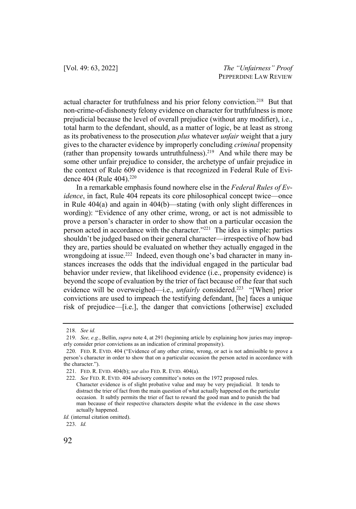actual character for truthfulness and his prior felony conviction.<sup>218</sup> But that non-crime-of-dishonesty felony evidence on character for truthfulness is more prejudicial because the level of overall prejudice (without any modifier), i.e., total harm to the defendant, should, as a matter of logic, be at least as strong as its probativeness to the prosecution *plus* whatever *unfair* weight that a jury gives to the character evidence by improperly concluding *criminal* propensity (rather than propensity towards untruthfulness).219 And while there may be some other unfair prejudice to consider, the archetype of unfair prejudice in the context of Rule 609 evidence is that recognized in Federal Rule of Evidence 404 (Rule 404).<sup>220</sup>

In a remarkable emphasis found nowhere else in the *Federal Rules of Evidence*, in fact, Rule 404 repeats its core philosophical concept twice—once in Rule 404(a) and again in 404(b)—stating (with only slight differences in wording): "Evidence of any other crime, wrong, or act is not admissible to prove a person's character in order to show that on a particular occasion the person acted in accordance with the character."221 The idea is simple: parties shouldn't be judged based on their general character—irrespective of how bad they are, parties should be evaluated on whether they actually engaged in the wrongdoing at issue.<sup>222</sup> Indeed, even though one's bad character in many instances increases the odds that the individual engaged in the particular bad behavior under review, that likelihood evidence (i.e., propensity evidence) is beyond the scope of evaluation by the trier of fact because of the fear that such evidence will be overweighed—i.e., *unfairly* considered.<sup>223</sup> "[When] prior convictions are used to impeach the testifying defendant, [he] faces a unique risk of prejudice—[i.e.], the danger that convictions [otherwise] excluded

<sup>218.</sup> *See id.*

<sup>219.</sup> *See, e.g.*, Bellin, *supra* note 4, at 291 (beginning article by explaining how juries may improperly consider prior convictions as an indication of criminal propensity).

<sup>220.</sup> FED. R. EVID. 404 ("Evidence of any other crime, wrong, or act is not admissible to prove a person's character in order to show that on a particular occasion the person acted in accordance with the character.").

<sup>221.</sup> FED. R. EVID. 404(b); *see also* FED. R. EVID. 404(a).

<sup>222.</sup> *See* FED. R. EVID. 404 advisory committee's notes on the 1972 proposed rules. Character evidence is of slight probative value and may be very prejudicial. It tends to distract the trier of fact from the main question of what actually happened on the particular occasion. It subtly permits the trier of fact to reward the good man and to punish the bad man because of their respective characters despite what the evidence in the case shows actually happened.

*Id.* (internal citation omitted).

<sup>223.</sup> *Id.*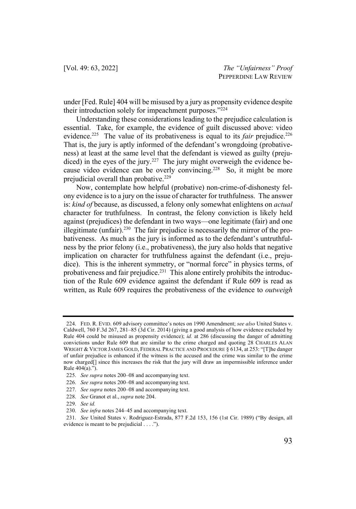under [Fed. Rule] 404 will be misused by a jury as propensity evidence despite their introduction solely for impeachment purposes."224

Understanding these considerations leading to the prejudice calculation is essential. Take, for example, the evidence of guilt discussed above: video evidence.<sup>225</sup> The value of its probativeness is equal to its *fair* prejudice.<sup>226</sup> That is, the jury is aptly informed of the defendant's wrongdoing (probativeness) at least at the same level that the defendant is viewed as guilty (prejudiced) in the eyes of the jury.<sup>227</sup> The jury might overweigh the evidence because video evidence can be overly convincing.<sup>228</sup> So, it might be more prejudicial overall than probative.<sup>229</sup>

Now, contemplate how helpful (probative) non-crime-of-dishonesty felony evidence is to a jury on the issue of character for truthfulness. The answer is: *kind of* because, as discussed, a felony only somewhat enlightens on *actual* character for truthfulness. In contrast, the felony conviction is likely held against (prejudices) the defendant in two ways—one legitimate (fair) and one illegitimate (unfair).<sup>230</sup> The fair prejudice is necessarily the mirror of the probativeness. As much as the jury is informed as to the defendant's untruthfulness by the prior felony (i.e., probativeness), the jury also holds that negative implication on character for truthfulness against the defendant (i.e., prejudice). This is the inherent symmetry, or "normal force" in physics terms, of probativeness and fair prejudice.<sup>231</sup> This alone entirely prohibits the introduction of the Rule 609 evidence against the defendant if Rule 609 is read as written, as Rule 609 requires the probativeness of the evidence to *outweigh*

<sup>224.</sup> FED. R. EVID. 609 advisory committee's notes on 1990 Amendment; *see also* United States v. Caldwell, 760 F.3d 267, 281–85 (3d Cir. 2014) (giving a good analysis of how evidence excluded by Rule 404 could be misused as propensity evidence); *id.* at 286 (discussing the danger of admitting convictions under Rule 609 that are similar to the crime charged and quoting 28 CHARLES ALAN WRIGHT & VICTOR JAMES GOLD, FEDERAL PRACTICE AND PROCEDURE § 6134, at 253: "[T]he danger of unfair prejudice is enhanced if the witness is the accused and the crime was similar to the crime now charged[] since this increases the risk that the jury will draw an impermissible inference under Rule 404(a).").

<sup>225.</sup> *See supra* notes 200–08 and accompanying text.

<sup>226.</sup> *See supra* notes 200–08 and accompanying text.

<sup>227.</sup> *See supra* notes 200–08 and accompanying text.

<sup>228.</sup> *See* Granot et al., *supra* note 204.

<sup>229.</sup> *See id.*

<sup>230.</sup> *See infra* notes 244–45 and accompanying text.

<sup>231.</sup> *See* United States v. Rodriguez-Estrada, 877 F.2d 153, 156 (1st Cir. 1989) ("By design, all evidence is meant to be prejudicial . . . .").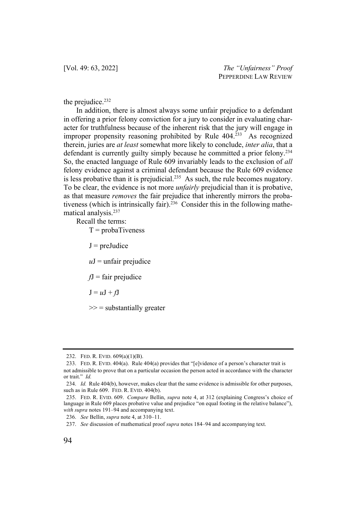[Vol. 49: 63, 2022] *The "Unfairness" Proof* PEPPERDINE LAW REVIEW

the prejudice.<sup>232</sup>

In addition, there is almost always some unfair prejudice to a defendant in offering a prior felony conviction for a jury to consider in evaluating character for truthfulness because of the inherent risk that the jury will engage in improper propensity reasoning prohibited by Rule 404.<sup>233</sup> As recognized therein, juries are *at least* somewhat more likely to conclude, *inter alia*, that a defendant is currently guilty simply because he committed a prior felony.<sup>234</sup> So, the enacted language of Rule 609 invariably leads to the exclusion of *all* felony evidence against a criminal defendant because the Rule 609 evidence is less probative than it is prejudicial.<sup>235</sup> As such, the rule becomes nugatory. To be clear, the evidence is not more *unfairly* prejudicial than it is probative, as that measure *removes* the fair prejudice that inherently mirrors the probativeness (which is intrinsically fair).<sup>236</sup> Consider this in the following mathematical analysis.237

Recall the terms:

 $T = probaTiveness$ 

 $J = preJudice$ 

 $uJ$  = unfair prejudice

 $fJ =$ fair prejudice

 $J = uJ + fJ$ 

 $\gg$  = substantially greater

<sup>232.</sup> FED. R. EVID. 609(a)(1)(B).

<sup>233.</sup> FED. R. EVID. 404(a). Rule 404(a) provides that "[e]vidence of a person's character trait is not admissible to prove that on a particular occasion the person acted in accordance with the character or trait." *Id.* 

<sup>234.</sup> *Id.* Rule 404(b), however, makes clear that the same evidence is admissible for other purposes, such as in Rule 609. FED. R. EVID. 404(b).

<sup>235.</sup> FED. R. EVID. 609. *Compare* Bellin, *supra* note 4, at 312 (explaining Congress's choice of language in Rule 609 places probative value and prejudice "on equal footing in the relative balance"), *with supra* notes 191–94 and accompanying text.

<sup>236.</sup> *See* Bellin, *supra* note 4, at 310–11.

<sup>237.</sup> *See* discussion of mathematical proof *supra* notes 184–94 and accompanying text.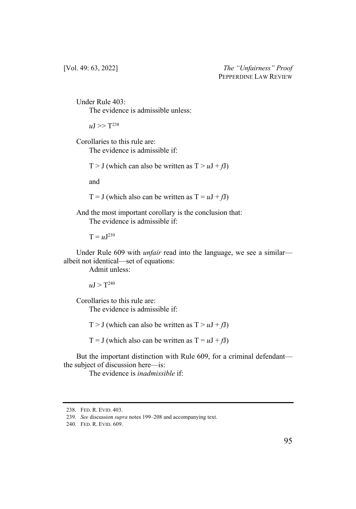Under Rule 403: The evidence is admissible unless:

 $\mu$ J >> T<sup>238</sup>

Corollaries to this rule are: The evidence is admissible if:

T > J (which can also be written as  $T > uJ + fJ$ )

and

T = J (which also can be written as  $T = uJ + fJ$ )

And the most important corollary is the conclusion that: The evidence is admissible if:

 $T = uJ^{239}$ 

Under Rule 609 with *unfair* read into the language, we see a similar albeit not identical—set of equations:

Admit unless:

 $\mu$ J > T<sup>240</sup>

Corollaries to this rule are: The evidence is admissible if:

T > J (which can also be written as  $T > uJ + fJ$ )

T = J (which also can be written as  $T = uJ + fJ$ )

But the important distinction with Rule 609, for a criminal defendant the subject of discussion here—is:

The evidence is *inadmissible* if:

<sup>238.</sup> FED. R. EVID. 403.

<sup>239.</sup> *See* discussion *supra* notes 199–208 and accompanying text.

<sup>240.</sup> FED. R. EVID. 609.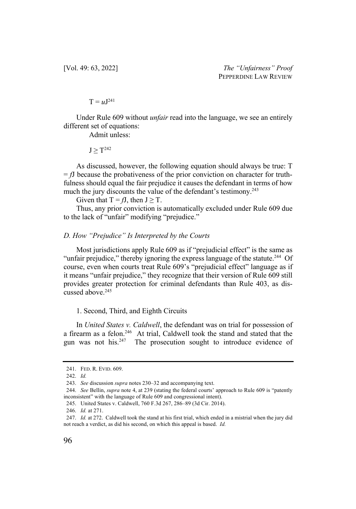[Vol. 49: 63, 2022] *The "Unfairness" Proof* PEPPERDINE LAW REVIEW

 $T = uJ^{241}$ 

Under Rule 609 without *unfair* read into the language, we see an entirely different set of equations:

Admit unless:

 $J > T^{242}$ 

As discussed, however, the following equation should always be true: T  $= fJ$  because the probativeness of the prior conviction on character for truthfulness should equal the fair prejudice it causes the defendant in terms of how much the jury discounts the value of the defendant's testimony.<sup>243</sup>

Given that  $T = fJ$ , then  $J \geq T$ .

Thus, any prior conviction is automatically excluded under Rule 609 due to the lack of "unfair" modifying "prejudice."

## *D. How "Prejudice" Is Interpreted by the Courts*

Most jurisdictions apply Rule 609 as if "prejudicial effect" is the same as "unfair prejudice," thereby ignoring the express language of the statute.<sup>244</sup> Of course, even when courts treat Rule 609's "prejudicial effect" language as if it means "unfair prejudice," they recognize that their version of Rule 609 still provides greater protection for criminal defendants than Rule 403, as discussed above.245

1. Second, Third, and Eighth Circuits

In *United States v. Caldwell*, the defendant was on trial for possession of a firearm as a felon.<sup>246</sup> At trial, Caldwell took the stand and stated that the gun was not his. $247$  The prosecution sought to introduce evidence of

246. *Id.* at 271.

<sup>241.</sup> FED. R. EVID. 609.

<sup>242.</sup> *Id.*

<sup>243.</sup> *See* discussion *supra* notes 230–32 and accompanying text.

<sup>244.</sup> *See* Bellin, *supra* note 4, at 239 (stating the federal courts' approach to Rule 609 is "patently inconsistent" with the language of Rule 609 and congressional intent).

<sup>245.</sup> United States v. Caldwell, 760 F.3d 267, 286–89 (3d Cir. 2014).

<sup>247.</sup> *Id.* at 272. Caldwell took the stand at his first trial, which ended in a mistrial when the jury did not reach a verdict, as did his second, on which this appeal is based. *Id.*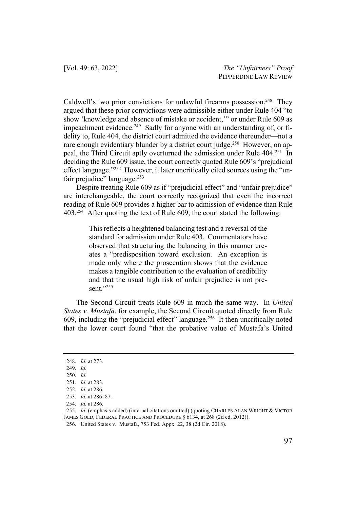Caldwell's two prior convictions for unlawful firearms possession.<sup>248</sup> They argued that these prior convictions were admissible either under Rule 404 "to show 'knowledge and absence of mistake or accident,'" or under Rule 609 as impeachment evidence.<sup>249</sup> Sadly for anyone with an understanding of, or fidelity to, Rule 404, the district court admitted the evidence thereunder—not a rare enough evidentiary blunder by a district court judge.<sup>250</sup> However, on appeal, the Third Circuit aptly overturned the admission under Rule 404.251 In deciding the Rule 609 issue, the court correctly quoted Rule 609's "prejudicial effect language."252 However, it later uncritically cited sources using the "unfair prejudice" language.<sup>253</sup>

Despite treating Rule 609 as if "prejudicial effect" and "unfair prejudice" are interchangeable, the court correctly recognized that even the incorrect reading of Rule 609 provides a higher bar to admission of evidence than Rule 403.254 After quoting the text of Rule 609, the court stated the following:

> This reflects a heightened balancing test and a reversal of the standard for admission under Rule 403. Commentators have observed that structuring the balancing in this manner creates a "predisposition toward exclusion. An exception is made only where the prosecution shows that the evidence makes a tangible contribution to the evaluation of credibility and that the usual high risk of unfair prejudice is not present."255

The Second Circuit treats Rule 609 in much the same way. In *United States v. Mustafa*, for example, the Second Circuit quoted directly from Rule 609, including the "prejudicial effect" language.256 It then uncritically noted that the lower court found "that the probative value of Mustafa's United

<sup>248.</sup> *Id.* at 273.

<sup>249.</sup> *Id.*

<sup>250.</sup> *Id.*

<sup>251.</sup> *Id.* at 283.

<sup>252.</sup> *Id.* at 286.

<sup>253.</sup> *Id.* at 286–87.

<sup>254.</sup> *Id.* at 286.

<sup>255.</sup> *Id.* (emphasis added) (internal citations omitted) (quoting CHARLES ALAN WRIGHT & VICTOR JAMES GOLD, FEDERAL PRACTICE AND PROCEDURE § 6134, at 268 (2d ed. 2012)).

<sup>256.</sup> United States v. Mustafa, 753 Fed. Appx. 22, 38 (2d Cir. 2018).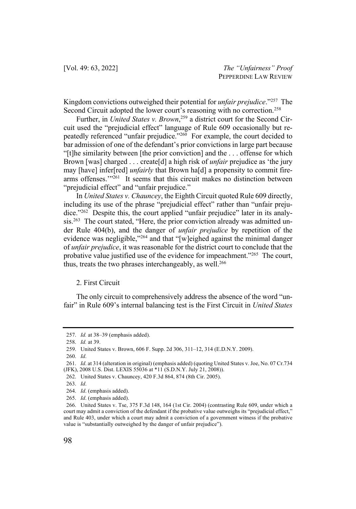Kingdom convictions outweighed their potential for *unfair prejudice*."257 The Second Circuit adopted the lower court's reasoning with no correction.<sup>258</sup>

Further, in *United States v. Brown*, <sup>259</sup> a district court for the Second Circuit used the "prejudicial effect" language of Rule 609 occasionally but repeatedly referenced "unfair prejudice."<sup>260</sup> For example, the court decided to bar admission of one of the defendant's prior convictions in large part because "[t]he similarity between [the prior conviction] and the . . . offense for which Brown [was] charged . . . create[d] a high risk of *unfair* prejudice as 'the jury may [have] infer[red] *unfairly* that Brown ha[d] a propensity to commit firearms offenses."<sup>261</sup> It seems that this circuit makes no distinction between "prejudicial effect" and "unfair prejudice."

In *United States v. Chauncey*, the Eighth Circuit quoted Rule 609 directly, including its use of the phrase "prejudicial effect" rather than "unfair prejudice."262 Despite this, the court applied "unfair prejudice" later in its analysis.<sup>263</sup> The court stated, "Here, the prior conviction already was admitted under Rule 404(b), and the danger of *unfair prejudice* by repetition of the evidence was negligible,"<sup>264</sup> and that "[w]eighed against the minimal danger of *unfair prejudice*, it was reasonable for the district court to conclude that the probative value justified use of the evidence for impeachment."265 The court, thus, treats the two phrases interchangeably, as well.<sup>266</sup>

#### 2. First Circuit

The only circuit to comprehensively address the absence of the word "unfair" in Rule 609's internal balancing test is the First Circuit in *United States* 

260. *Id*.

<sup>257.</sup> *Id.* at 38–39 (emphasis added).

<sup>258.</sup> *Id.* at 39.

<sup>259.</sup> United States v. Brown, 606 F. Supp. 2d 306, 311–12, 314 (E.D.N.Y. 2009).

<sup>261.</sup> *Id*. at 314 (alteration in original) (emphasis added) (quoting United States v. Joe, No. 07 Cr.734 (JFK), 2008 U.S. Dist. LEXIS 55036 at \*11 (S.D.N.Y. July 21, 2008)).

<sup>262.</sup> United States v. Chauncey, 420 F.3d 864, 874 (8th Cir. 2005).

<sup>263.</sup> *Id*.

<sup>264.</sup> *Id*. (emphasis added).

<sup>265.</sup> *Id*. (emphasis added).

<sup>266.</sup> United States v. Tse, 375 F.3d 148, 164 (1st Cir. 2004) (contrasting Rule 609, under which a court may admit a conviction of the defendant if the probative value outweighs its "prejudicial effect," and Rule 403, under which a court may admit a conviction of a government witness if the probative value is "substantially outweighed by the danger of unfair prejudice").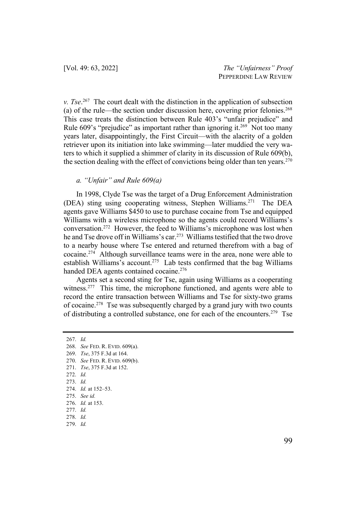*v. Tse*. 267 The court dealt with the distinction in the application of subsection (a) of the rule—the section under discussion here, covering prior felonies.<sup>268</sup> This case treats the distinction between Rule 403's "unfair prejudice" and Rule 609's "prejudice" as important rather than ignoring it.<sup>269</sup> Not too many years later, disappointingly, the First Circuit—with the alacrity of a golden retriever upon its initiation into lake swimming—later muddied the very waters to which it supplied a shimmer of clarity in its discussion of Rule 609(b), the section dealing with the effect of convictions being older than ten years.<sup>270</sup>

# *a. "Unfair" and Rule 609(a)*

In 1998, Clyde Tse was the target of a Drug Enforcement Administration (DEA) sting using cooperating witness, Stephen Williams.271 The DEA agents gave Williams \$450 to use to purchase cocaine from Tse and equipped Williams with a wireless microphone so the agents could record Williams's conversation.272 However, the feed to Williams's microphone was lost when he and Tse drove off in Williams's car.273 Williams testified that the two drove to a nearby house where Tse entered and returned therefrom with a bag of cocaine.274 Although surveillance teams were in the area, none were able to establish Williams's account.<sup>275</sup> Lab tests confirmed that the bag Williams handed DEA agents contained cocaine.<sup>276</sup>

Agents set a second sting for Tse, again using Williams as a cooperating witness.<sup>277</sup> This time, the microphone functioned, and agents were able to record the entire transaction between Williams and Tse for sixty-two grams of cocaine.278 Tse was subsequently charged by a grand jury with two counts of distributing a controlled substance, one for each of the encounters.<sup>279</sup> Tse

267. *Id.*

270. *See* FED. R. EVID. 609(b).

- 277. *Id.*
- 278. *Id.*
- 279. *Id.*

<sup>268.</sup> *See* FED. R. EVID. 609(a).

<sup>269.</sup> *Tse*, 375 F.3d at 164.

<sup>271.</sup> *Tse*, 375 F.3d at 152.

<sup>272.</sup> *Id.*

<sup>273.</sup> *Id.* 

<sup>274.</sup> *Id.* at 152–53.

<sup>275.</sup> *See id.*

<sup>276.</sup> *Id.* at 153.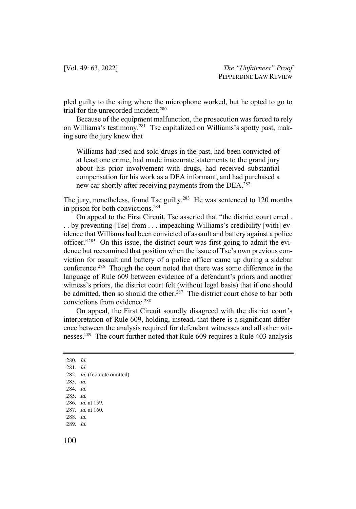pled guilty to the sting where the microphone worked, but he opted to go to trial for the unrecorded incident.280

Because of the equipment malfunction, the prosecution was forced to rely on Williams's testimony.281 Tse capitalized on Williams's spotty past, making sure the jury knew that

Williams had used and sold drugs in the past, had been convicted of at least one crime, had made inaccurate statements to the grand jury about his prior involvement with drugs, had received substantial compensation for his work as a DEA informant, and had purchased a new car shortly after receiving payments from the DEA.<sup>282</sup>

The jury, nonetheless, found Tse guilty.<sup>283</sup> He was sentenced to 120 months in prison for both convictions.284

On appeal to the First Circuit, Tse asserted that "the district court erred . . . by preventing [Tse] from . . . impeaching Williams's credibility [with] evidence that Williams had been convicted of assault and battery against a police officer."285 On this issue, the district court was first going to admit the evidence but reexamined that position when the issue of Tse's own previous conviction for assault and battery of a police officer came up during a sidebar conference.<sup>286</sup> Though the court noted that there was some difference in the language of Rule 609 between evidence of a defendant's priors and another witness's priors, the district court felt (without legal basis) that if one should be admitted, then so should the other.<sup>287</sup> The district court chose to bar both convictions from evidence.288

On appeal, the First Circuit soundly disagreed with the district court's interpretation of Rule 609, holding, instead, that there is a significant difference between the analysis required for defendant witnesses and all other witnesses.289 The court further noted that Rule 609 requires a Rule 403 analysis

289. *Id.*

<sup>280.</sup> *Id.*

<sup>281.</sup> *Id.*

<sup>282.</sup> *Id.* (footnote omitted).

<sup>283.</sup> *Id.* 

<sup>284.</sup> *Id.*

<sup>285.</sup> *Id.*

<sup>286.</sup> *Id.* at 159.

<sup>287.</sup> *Id.* at 160.

<sup>288.</sup> *Id.*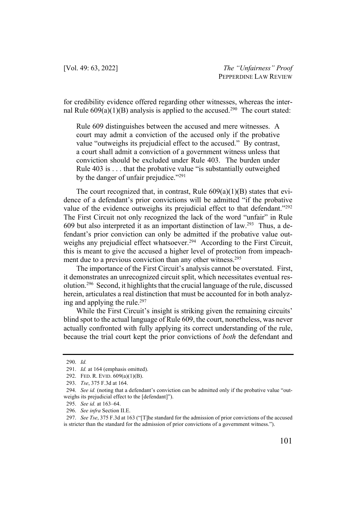for credibility evidence offered regarding other witnesses, whereas the internal Rule  $609(a)(1)(B)$  analysis is applied to the accused.<sup>290</sup> The court stated:

Rule 609 distinguishes between the accused and mere witnesses. A court may admit a conviction of the accused only if the probative value "outweighs its prejudicial effect to the accused." By contrast, a court shall admit a conviction of a government witness unless that conviction should be excluded under Rule 403. The burden under Rule 403 is . . . that the probative value "is substantially outweighed by the danger of unfair prejudice."<sup>291</sup>

The court recognized that, in contrast, Rule  $609(a)(1)(B)$  states that evidence of a defendant's prior convictions will be admitted "if the probative value of the evidence outweighs its prejudicial effect to that defendant."<sup>292</sup> The First Circuit not only recognized the lack of the word "unfair" in Rule 609 but also interpreted it as an important distinction of law.<sup>293</sup> Thus, a defendant's prior conviction can only be admitted if the probative value outweighs any prejudicial effect whatsoever.<sup>294</sup> According to the First Circuit, this is meant to give the accused a higher level of protection from impeachment due to a previous conviction than any other witness.<sup>295</sup>

The importance of the First Circuit's analysis cannot be overstated. First, it demonstrates an unrecognized circuit split, which necessitates eventual resolution.296 Second, it highlights that the crucial language of the rule, discussed herein, articulates a real distinction that must be accounted for in both analyzing and applying the rule.<sup>297</sup>

While the First Circuit's insight is striking given the remaining circuits' blind spot to the actual language of Rule 609, the court, nonetheless, was never actually confronted with fully applying its correct understanding of the rule, because the trial court kept the prior convictions of *both* the defendant and

<sup>290.</sup> *Id.*

<sup>291.</sup> *Id.* at 164 (emphasis omitted).

<sup>292.</sup> FED. R. EVID. 609(a)(1)(B).

<sup>293.</sup> *Tse*, 375 F.3d at 164.

<sup>294.</sup> *See id.* (noting that a defendant's conviction can be admitted only if the probative value "outweighs its prejudicial effect to the [defendant]").

<sup>295.</sup> *See id.* at 163–64.

<sup>296.</sup> *See infra* Section II.E.

<sup>297.</sup> *See Tse*, 375 F.3d at 163 ("[T]he standard for the admission of prior convictions of the accused is stricter than the standard for the admission of prior convictions of a government witness.").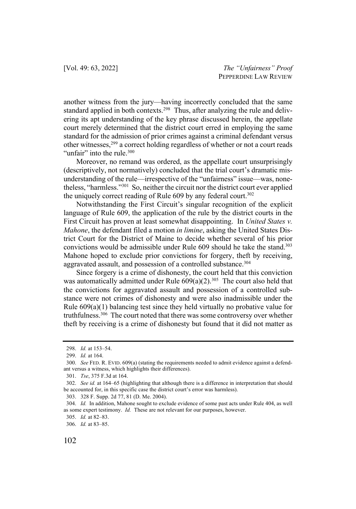another witness from the jury—having incorrectly concluded that the same standard applied in both contexts.<sup>298</sup> Thus, after analyzing the rule and delivering its apt understanding of the key phrase discussed herein, the appellate court merely determined that the district court erred in employing the same standard for the admission of prior crimes against a criminal defendant versus other witnesses,<sup>299</sup> a correct holding regardless of whether or not a court reads "unfair" into the rule.<sup>300</sup>

Moreover, no remand was ordered, as the appellate court unsurprisingly (descriptively, not normatively) concluded that the trial court's dramatic misunderstanding of the rule—irrespective of the "unfairness" issue—was, nonetheless, "harmless."301 So, neither the circuit nor the district court ever applied the uniquely correct reading of Rule 609 by any federal court.<sup>302</sup>

Notwithstanding the First Circuit's singular recognition of the explicit language of Rule 609, the application of the rule by the district courts in the First Circuit has proven at least somewhat disappointing. In *United States v. Mahone*, the defendant filed a motion *in limine*, asking the United States District Court for the District of Maine to decide whether several of his prior convictions would be admissible under Rule 609 should he take the stand.<sup>303</sup> Mahone hoped to exclude prior convictions for forgery, theft by receiving, aggravated assault, and possession of a controlled substance.<sup>304</sup>

Since forgery is a crime of dishonesty, the court held that this conviction was automatically admitted under Rule  $609(a)(2)$ .<sup>305</sup> The court also held that the convictions for aggravated assault and possession of a controlled substance were not crimes of dishonesty and were also inadmissible under the Rule 609(a)(1) balancing test since they held virtually no probative value for truthfulness.306 The court noted that there was some controversy over whether theft by receiving is a crime of dishonesty but found that it did not matter as

<sup>298.</sup> *Id.* at 153–54.

<sup>299.</sup> *Id.* at 164.

<sup>300.</sup> *See* FED. R. EVID. 609(a) (stating the requirements needed to admit evidence against a defendant versus a witness, which highlights their differences).

<sup>301.</sup> *Tse*, 375 F.3d at 164.

<sup>302.</sup> *See id.* at 164–65 (highlighting that although there is a difference in interpretation that should be accounted for, in this specific case the district court's error was harmless).

<sup>303.</sup> 328 F. Supp. 2d 77, 81 (D. Me. 2004).

<sup>304.</sup> *Id.* In addition, Mahone sought to exclude evidence of some past acts under Rule 404, as well as some expert testimony. *Id.* These are not relevant for our purposes, however.

<sup>305.</sup> *Id.* at 82–83.

<sup>306.</sup> *Id.* at 83–85.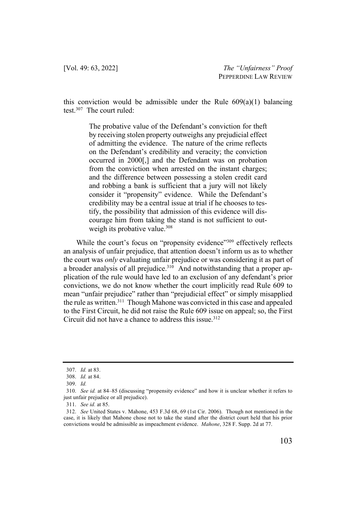this conviction would be admissible under the Rule  $609(a)(1)$  balancing test.307 The court ruled:

> The probative value of the Defendant's conviction for theft by receiving stolen property outweighs any prejudicial effect of admitting the evidence. The nature of the crime reflects on the Defendant's credibility and veracity; the conviction occurred in 2000[,] and the Defendant was on probation from the conviction when arrested on the instant charges; and the difference between possessing a stolen credit card and robbing a bank is sufficient that a jury will not likely consider it "propensity" evidence. While the Defendant's credibility may be a central issue at trial if he chooses to testify, the possibility that admission of this evidence will discourage him from taking the stand is not sufficient to outweigh its probative value.<sup>308</sup>

While the court's focus on "propensity evidence"<sup>309</sup> effectively reflects an analysis of unfair prejudice, that attention doesn't inform us as to whether the court was *only* evaluating unfair prejudice or was considering it as part of a broader analysis of all prejudice.<sup>310</sup> And notwithstanding that a proper application of the rule would have led to an exclusion of any defendant's prior convictions, we do not know whether the court implicitly read Rule 609 to mean "unfair prejudice" rather than "prejudicial effect" or simply misapplied the rule as written.<sup>311</sup> Though Mahone was convicted in this case and appealed to the First Circuit, he did not raise the Rule 609 issue on appeal; so, the First Circuit did not have a chance to address this issue.<sup>312</sup>

<sup>307.</sup> *Id.* at 83.

<sup>308.</sup> *Id.* at 84.

<sup>309.</sup> *Id.*

<sup>310.</sup> *See id.* at 84–85 (discussing "propensity evidence" and how it is unclear whether it refers to just unfair prejudice or all prejudice).

<sup>311.</sup> *See id.* at 85.

<sup>312.</sup> *See* United States v. Mahone, 453 F.3d 68, 69 (1st Cir. 2006). Though not mentioned in the case, it is likely that Mahone chose not to take the stand after the district court held that his prior convictions would be admissible as impeachment evidence. *Mahone*, 328 F. Supp. 2d at 77.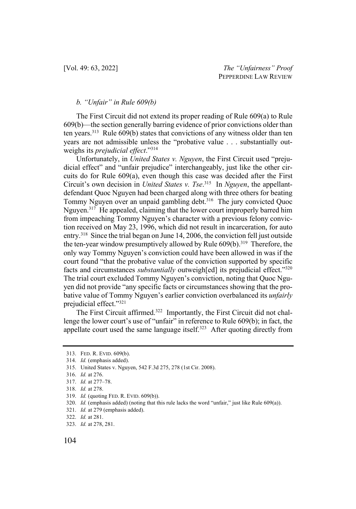#### *b. "Unfair" in Rule 609(b)*

The First Circuit did not extend its proper reading of Rule 609(a) to Rule 609(b)—the section generally barring evidence of prior convictions older than ten years.313Rule 609(b) states that convictions of any witness older than ten years are not admissible unless the "probative value . . . substantially outweighs its *prejudicial effect*."314

Unfortunately, in *United States v. Nguyen*, the First Circuit used "prejudicial effect" and "unfair prejudice" interchangeably, just like the other circuits do for Rule 609(a), even though this case was decided after the First Circuit's own decision in *United States v. Tse*. 315 In *Nguyen*, the appellantdefendant Quoc Nguyen had been charged along with three others for beating Tommy Nguyen over an unpaid gambling debt.<sup>316</sup> The jury convicted Quoc Nguyen.<sup>317</sup> He appealed, claiming that the lower court improperly barred him from impeaching Tommy Nguyen's character with a previous felony conviction received on May 23, 1996, which did not result in incarceration, for auto entry.318 Since the trial began on June 14, 2006, the conviction fell just outside the ten-year window presumptively allowed by Rule  $609(b)$ .<sup>319</sup> Therefore, the only way Tommy Nguyen's conviction could have been allowed in was if the court found "that the probative value of the conviction supported by specific facts and circumstances *substantially* outweigh[ed] its prejudicial effect."320 The trial court excluded Tommy Nguyen's conviction, noting that Quoc Nguyen did not provide "any specific facts or circumstances showing that the probative value of Tommy Nguyen's earlier conviction overbalanced its *unfairly* prejudicial effect."321

The First Circuit affirmed.<sup>322</sup> Importantly, the First Circuit did not challenge the lower court's use of "unfair" in reference to Rule 609(b); in fact, the appellate court used the same language itself.<sup>323</sup> After quoting directly from

- 319. *Id.* (quoting FED. R. EVID. 609(b)).
- 320. *Id.* (emphasis added) (noting that this rule lacks the word "unfair," just like Rule 609(a)).
- 321. *Id.* at 279 (emphasis added).

323. *Id.* at 278, 281.

<sup>313.</sup> FED. R. EVID. 609(b).

<sup>314.</sup> *Id.* (emphasis added).

<sup>315.</sup> United States v. Nguyen, 542 F.3d 275, 278 (1st Cir. 2008).

<sup>316.</sup> *Id.* at 276.

<sup>317.</sup> *Id.* at 277–78.

<sup>318.</sup> *Id.* at 278.

<sup>322.</sup> *Id.* at 281.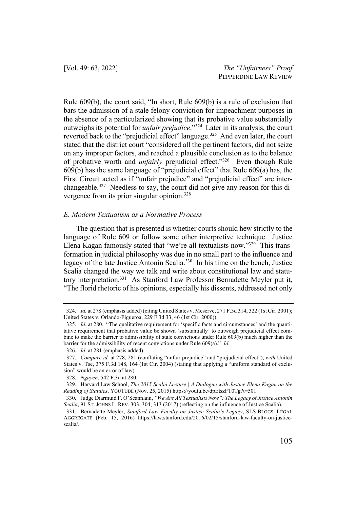Rule 609(b), the court said, "In short, Rule 609(b) is a rule of exclusion that bars the admission of a stale felony conviction for impeachment purposes in the absence of a particularized showing that its probative value substantially outweighs its potential for *unfair prejudice*."324 Later in its analysis, the court reverted back to the "prejudicial effect" language.<sup>325</sup> And even later, the court stated that the district court "considered all the pertinent factors, did not seize on any improper factors, and reached a plausible conclusion as to the balance of probative worth and *unfairly* prejudicial effect."326 Even though Rule 609(b) has the same language of "prejudicial effect" that Rule 609(a) has, the First Circuit acted as if "unfair prejudice" and "prejudicial effect" are interchangeable.327 Needless to say, the court did not give any reason for this divergence from its prior singular opinion.<sup>328</sup>

#### *E. Modern Textualism as a Normative Process*

The question that is presented is whether courts should hew strictly to the language of Rule 609 or follow some other interpretive technique. Justice Elena Kagan famously stated that "we're all textualists now."329 This transformation in judicial philosophy was due in no small part to the influence and legacy of the late Justice Antonin Scalia.330 In his time on the bench, Justice Scalia changed the way we talk and write about constitutional law and statutory interpretation.331 As Stanford Law Professor Bernadette Meyler put it, "The florid rhetoric of his opinions, especially his dissents, addressed not only

<sup>324.</sup> *Id.* at 278 (emphasis added) (citing United States v. Meserve, 271 F.3d 314, 322 (1st Cir. 2001); United States v. Orlando-Figueroa, 229 F.3d 33, 46 (1st Cir. 2000)).

<sup>325.</sup> *Id.* at 280. "The qualitative requirement for 'specific facts and circumstances' and the quantitative requirement that probative value be shown 'substantially' to outweigh prejudicial effect combine to make the barrier to admissibility of stale convictions under Rule 609(b) much higher than the barrier for the admissibility of recent convictions under Rule 609(a)." *Id.*

<sup>326.</sup> *Id.* at 281 (emphasis added).

<sup>327.</sup> *Compare id.* at 278, 281 (conflating "unfair prejudice" and "prejudicial effect"), *with* United States v. Tse, 375 F.3d 148, 164 (1st Cir. 2004) (stating that applying a "uniform standard of exclusion" would be an error of law).

<sup>328.</sup> *Nguyen*, 542 F.3d at 280.

<sup>329.</sup> Harvard Law School, *The 2015 Scalia Lecture | A Dialogue with Justice Elena Kagan on the Reading of Statutes*, YOUTUBE (Nov. 25, 2015) https://youtu.be/dpEtszFT0Tg?t=501.

<sup>330.</sup> Judge Diarmuid F. O'Scannlain, *"We Are All Textualists Now": The Legacy of Justice Antonin Scalia*, 91 ST. JOHNS L. REV. 303, 304, 313 (2017) (reflecting on the influence of Justice Scalia).

<sup>331.</sup> Bernadette Meyler, *Stanford Law Faculty on Justice Scalia's Legacy*, SLS BLOGS: LEGAL AGGREGATE (Feb. 15, 2016) https://law.stanford.edu/2016/02/15/stanford-law-faculty-on-justicescalia/.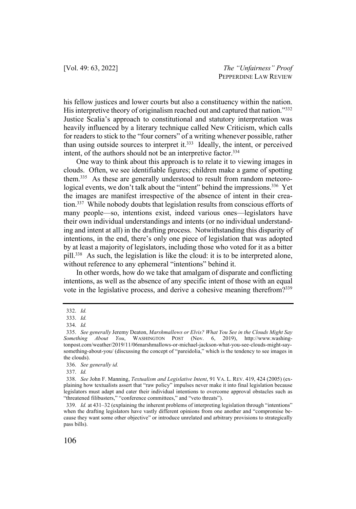his fellow justices and lower courts but also a constituency within the nation. His interpretive theory of originalism reached out and captured that nation."332 Justice Scalia's approach to constitutional and statutory interpretation was heavily influenced by a literary technique called New Criticism, which calls for readers to stick to the "four corners" of a writing whenever possible, rather than using outside sources to interpret it.<sup>333</sup> Ideally, the intent, or perceived intent, of the authors should not be an interpretive factor.<sup>334</sup>

One way to think about this approach is to relate it to viewing images in clouds. Often, we see identifiable figures; children make a game of spotting them.<sup>335</sup> As these are generally understood to result from random meteorological events, we don't talk about the "intent" behind the impressions.<sup>336</sup> Yet the images are manifest irrespective of the absence of intent in their creation.<sup>337</sup> While nobody doubts that legislation results from conscious efforts of many people—so, intentions exist, indeed various ones—legislators have their own individual understandings and intents (or no individual understanding and intent at all) in the drafting process. Notwithstanding this disparity of intentions, in the end, there's only one piece of legislation that was adopted by at least a majority of legislators, including those who voted for it as a bitter pill.<sup>338</sup> As such, the legislation is like the cloud: it is to be interpreted alone, without reference to any ephemeral "intentions" behind it.

In other words, how do we take that amalgam of disparate and conflicting intentions, as well as the absence of any specific intent of those with an equal vote in the legislative process, and derive a cohesive meaning therefrom?339

<sup>332.</sup> *Id.*

<sup>333.</sup> *Id.*

<sup>334.</sup> *Id.*

<sup>335.</sup> *See generally* Jeremy Deaton, *Marshmallows or Elvis? What You See in the Clouds Might Say Something About You*, WASHINGTON POST (Nov. 6, 2019), http://www.washingtonpost.com/weather/2019/11/06marshmallows-or-michael-jackson-what-you-see-clouds-might-saysomething-about-you/ (discussing the concept of "pareidolia," which is the tendency to see images in the clouds).

<sup>336.</sup> *See generally id.*

<sup>337.</sup> *Id.*

<sup>338.</sup> *See* John F. Manning, *Textualism and Legislative Intent*, 91 VA. L. REV. 419, 424 (2005) (explaining how textualists assert that "raw policy" impulses never make it into final legislation because legislators must adapt and cater their individual intentions to overcome approval obstacles such as "threatened filibusters," "conference committees," and "veto threats").

<sup>339.</sup> *Id.* at 431–32 (explaining the inherent problems of interpreting legislation through "intentions" when the drafting legislators have vastly different opinions from one another and "compromise because they want some other objective" or introduce unrelated and arbitrary provisions to strategically pass bills).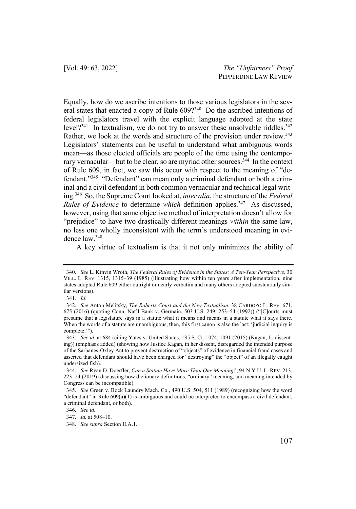Equally, how do we ascribe intentions to those various legislators in the several states that enacted a copy of Rule 609?340 Do the ascribed intentions of federal legislators travel with the explicit language adopted at the state level?<sup>341</sup> In textualism, we do not try to answer these unsolvable riddles.<sup>342</sup> Rather, we look at the words and structure of the provision under review.<sup>343</sup> Legislators' statements can be useful to understand what ambiguous words mean—as those elected officials are people of the time using the contemporary vernacular—but to be clear, so are myriad other sources.<sup>344</sup> In the context of Rule 609, in fact, we saw this occur with respect to the meaning of "defendant."345 "Defendant" can mean only a criminal defendant or both a criminal and a civil defendant in both common vernacular and technical legal writing.346 So, the Supreme Court looked at, *inter alia*, the structure of the *Federal Rules of Evidence* to determine *which* definition applies.<sup>347</sup> As discussed, however, using that same objective method of interpretation doesn't allow for "prejudice" to have two drastically different meanings *within* the same law, no less one wholly inconsistent with the term's understood meaning in evidence law.348

A key virtue of textualism is that it not only minimizes the ability of

<sup>340.</sup> *See* L. Kinvin Wroth, *The Federal Rules of Evidence in the States: A Ten-Year Perspective*, 30 VILL. L. REV. 1315, 1315–39 (1985) (illustrating how within ten years after implementation, nine states adopted Rule 609 either outright or nearly verbatim and many others adopted substantially similar versions).

<sup>341.</sup> *Id.*

<sup>342.</sup> *See* Anton Melitsky, *The Roberts Court and the New Textualism*, 38 CARDOZO L. REV. 671, 675 (2016) (quoting Conn. Nat'l Bank v. Germain, 503 U.S. 249, 253–54 (1992)) ("[C]ourts must presume that a legislature says in a statute what it means and means in a statute what it says there. When the words of a statute are unambiguous, then, this first canon is also the last: 'judicial inquiry is complete.'").

<sup>343.</sup> *See id.* at 684 (citing Yates v. United States, 135 S. Ct. 1074, 1091 (2015) (Kagan, J., dissenting)) (emphasis added) (showing how Justice Kagan, in her dissent, disregarded the intended purpose of the Sarbanes-Oxley Act to prevent destruction of "objects" of evidence in financial fraud cases and asserted that defendant should have been charged for "destroying" the "object" of an illegally caught undersized fish).

<sup>344.</sup> *See* Ryan D. Doerfler, *Can a Statute Have More Than One Meaning?*, 94 N.Y.U. L. REV. 213, 223–24 (2019) (discussing how dictionary definitions, "ordinary" meaning, and meaning intended by Congress can be incompatible).

<sup>345.</sup> *See* Green v. Bock Laundry Mach. Co., 490 U.S. 504, 511 (1989) (recognizing how the word "defendant" in Rule 609(a)(1) is ambiguous and could be interpreted to encompass a civil defendant, a criminal defendant, or both).

<sup>346.</sup> *See id.* 

<sup>347.</sup> *Id.* at 508–10.

<sup>348.</sup> *See supra* Section II.A.1.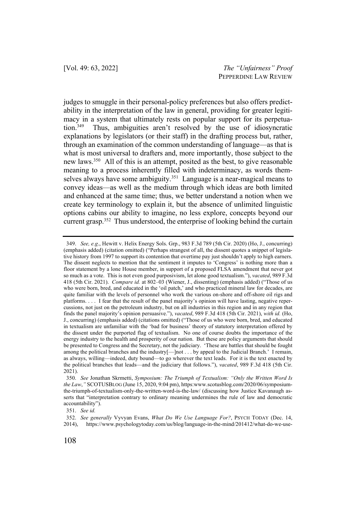judges to smuggle in their personal-policy preferences but also offers predictability in the interpretation of the law in general, providing for greater legitimacy in a system that ultimately rests on popular support for its perpetuation.349 Thus, ambiguities aren't resolved by the use of idiosyncratic explanations by legislators (or their staff) in the drafting process but, rather, through an examination of the common understanding of language—as that is what is most universal to drafters and, more importantly, those subject to the new laws.350 All of this is an attempt, posited as the best, to give reasonable meaning to a process inherently filled with indeterminacy, as words themselves always have some ambiguity.<sup>351</sup> Language is a near-magical means to convey ideas—as well as the medium through which ideas are both limited and enhanced at the same time; thus, we better understand a notion when we create key terminology to explain it, but the absence of unlimited linguistic options cabins our ability to imagine, no less explore, concepts beyond our current grasp.<sup>352</sup> Thus understood, the enterprise of looking behind the curtain

<sup>349.</sup> *See, e.g*., Hewitt v. Helix Energy Sols. Grp., 983 F.3d 789 (5th Cir. 2020) (Ho, J., concurring) (emphasis added) (citation omitted) ("Perhaps strangest of all, the dissent quotes a snippet of legislative history from 1997 to support its contention that overtime pay just shouldn't apply to high earners. The dissent neglects to mention that the sentiment it imputes to 'Congress' is nothing more than a floor statement by a lone House member, in support of a proposed FLSA amendment that never got so much as a vote. This is not even good purposivism, let alone good textualism."), *vacated*, 989 F.3d 418 (5th Cir. 2021). *Compare id.* at 802–03 (Wiener, J., dissenting) (emphasis added) ("Those of us who were born, bred, and educated in the 'oil patch,' and who practiced mineral law for decades, are quite familiar with the levels of personnel who work the various on-shore and off-shore oil rigs and platforms. . . . I fear that the result of the panel majority's opinion will have lasting, negative repercussions, not just on the petroleum industry, but on all industries in this region and in any region that finds the panel majority's opinion persuasive."), *vacated*, 989 F.3d 418 (5th Cir. 2021), *with id.* (Ho, J., concurring) (emphasis added) (citations omitted) ("Those of us who were born, bred, and educated in textualism are unfamiliar with the 'bad for business' theory of statutory interpretation offered by the dissent under the purported flag of textualism. No one of course doubts the importance of the energy industry to the health and prosperity of our nation. But these are policy arguments that should be presented to Congress and the Secretary, not the judiciary. 'These are battles that should be fought among the political branches and the industry[—]not . . . by appeal to the Judicial Branch.' I remain, as always, willing—indeed, duty bound—to go wherever the text leads. For it is the text enacted by the political branches that leads—and the judiciary that follows."), *vacated*, 989 F.3d 418 (5th Cir. 2021).

<sup>350.</sup> *See* Jonathan Skrmetti, *Symposium: The Triumph of Textualism: "Only the Written Word Is*  the Law," SCOTUSBLOG (June 15, 2020, 9:04 pm), https:www.scotusblog.com/2020/06/symposiumthe-triumph-of-textualism-only-the-written-word-is-the-law/ (discussing how Justice Kavanaugh asserts that "interpretation contrary to ordinary meaning undermines the rule of law and democratic accountability").

<sup>351.</sup> *See id.*

<sup>352.</sup> *See generally* Vyvyan Evans, *What Do We Use Language For?*, PSYCH TODAY (Dec. 14,

<sup>2014),</sup> https://www.psychologytoday.com/us/blog/language-in-the-mind/201412/what-do-we-use-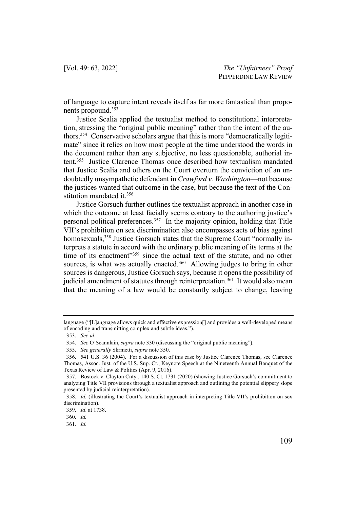of language to capture intent reveals itself as far more fantastical than proponents propound.353

Justice Scalia applied the textualist method to constitutional interpretation, stressing the "original public meaning" rather than the intent of the authors.354 Conservative scholars argue that this is more "democratically legitimate" since it relies on how most people at the time understood the words in the document rather than any subjective, no less questionable, authorial intent.355 Justice Clarence Thomas once described how textualism mandated that Justice Scalia and others on the Court overturn the conviction of an undoubtedly unsympathetic defendant in *Crawford v. Washington*—not because the justices wanted that outcome in the case, but because the text of the Constitution mandated it.356

Justice Gorsuch further outlines the textualist approach in another case in which the outcome at least facially seems contrary to the authoring justice's personal political preferences.357 In the majority opinion, holding that Title VII's prohibition on sex discrimination also encompasses acts of bias against homosexuals,<sup>358</sup> Justice Gorsuch states that the Supreme Court "normally interprets a statute in accord with the ordinary public meaning of its terms at the time of its enactment"<sup>359</sup> since the actual text of the statute, and no other sources, is what was actually enacted.<sup>360</sup> Allowing judges to bring in other sources is dangerous, Justice Gorsuch says, because it opens the possibility of judicial amendment of statutes through reinterpretation.<sup>361</sup> It would also mean that the meaning of a law would be constantly subject to change, leaving

360. *Id.*

language ("[L]anguage allows quick and effective expression[] and provides a well-developed means of encoding and transmitting complex and subtle ideas.").

<sup>353.</sup> *See id.*

<sup>354.</sup> *See* O'Scannlain, *supra* note 330 (discussing the "original public meaning").

<sup>355.</sup> *See generally* Skrmetti, *supra* note 350.

<sup>356.</sup> 541 U.S. 36 (2004). For a discussion of this case by Justice Clarence Thomas, see Clarence Thomas, Assoc. Just. of the U.S. Sup. Ct., Keynote Speech at the Nineteenth Annual Banquet of the Texas Review of Law & Politics (Apr. 9, 2016).

<sup>357.</sup> Bostock v. Clayton Cnty., 140 S. Ct. 1731 (2020) (showing Justice Gorsuch's commitment to analyzing Title VII provisions through a textualist approach and outlining the potential slippery slope presented by judicial reinterpretation).

<sup>358.</sup> *Id.* (illustrating the Court's textualist approach in interpreting Title VII's prohibition on sex discrimination).

<sup>359.</sup> *Id*. at 1738.

<sup>361.</sup> *Id.*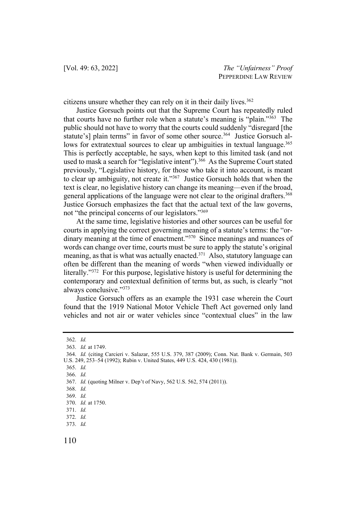citizens unsure whether they can rely on it in their daily lives.<sup>362</sup>

Justice Gorsuch points out that the Supreme Court has repeatedly ruled that courts have no further role when a statute's meaning is "plain."363 The public should not have to worry that the courts could suddenly "disregard [the statute's] plain terms" in favor of some other source.<sup>364</sup> Justice Gorsuch allows for extratextual sources to clear up ambiguities in textual language.<sup>365</sup> This is perfectly acceptable, he says, when kept to this limited task (and not used to mask a search for "legislative intent"). $3\overline{66}$  As the Supreme Court stated previously, "Legislative history, for those who take it into account, is meant to clear up ambiguity, not create it."367 Justice Gorsuch holds that when the text is clear, no legislative history can change its meaning—even if the broad, general applications of the language were not clear to the original drafters.<sup>368</sup> Justice Gorsuch emphasizes the fact that the actual text of the law governs, not "the principal concerns of our legislators."369

At the same time, legislative histories and other sources can be useful for courts in applying the correct governing meaning of a statute's terms: the "ordinary meaning at the time of enactment."<sup>370</sup> Since meanings and nuances of words can change over time, courts must be sure to apply the statute's original meaning, as that is what was actually enacted.<sup>371</sup> Also, statutory language can often be different than the meaning of words "when viewed individually or literally."372 For this purpose, legislative history is useful for determining the contemporary and contextual definition of terms but, as such, is clearly "not always conclusive."373

Justice Gorsuch offers as an example the 1931 case wherein the Court found that the 1919 National Motor Vehicle Theft Act governed only land vehicles and not air or water vehicles since "contextual clues" in the law

<sup>362.</sup> *Id.*

<sup>363.</sup> *Id.* at 1749.

<sup>364.</sup> *Id.* (citing Carcieri v. Salazar, 555 U.S. 379, 387 (2009); Conn. Nat. Bank v. Germain, 503 U.S. 249, 253–54 (1992); Rubin v. United States, 449 U.S. 424, 430 (1981)).

<sup>365.</sup> *Id.*

<sup>366.</sup> *Id.*

<sup>367.</sup> *Id.* (quoting Milner v. Dep't of Navy, 562 U.S. 562, 574 (2011)).

<sup>368.</sup> *Id.*

<sup>369.</sup> *Id.*

<sup>370.</sup> *Id.* at 1750.

<sup>371.</sup> *Id.*

<sup>372.</sup> *Id.*

<sup>373.</sup> *Id.*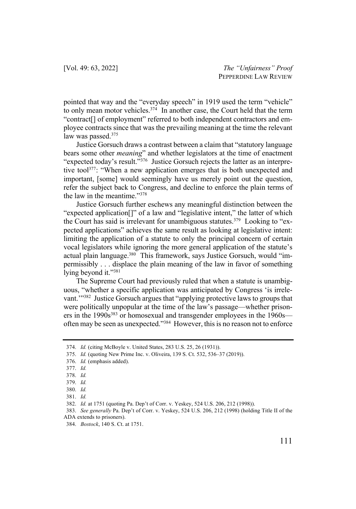pointed that way and the "everyday speech" in 1919 used the term "vehicle" to only mean motor vehicles.<sup>374</sup> In another case, the Court held that the term "contract[] of employment" referred to both independent contractors and employee contracts since that was the prevailing meaning at the time the relevant law was passed.<sup>375</sup>

Justice Gorsuch draws a contrast between a claim that "statutory language bears some other *meaning*" and whether legislators at the time of enactment "expected today's result."<sup>376</sup> Justice Gorsuch rejects the latter as an interpretive tool<sup>377</sup>: "When a new application emerges that is both unexpected and important, [some] would seemingly have us merely point out the question, refer the subject back to Congress, and decline to enforce the plain terms of the law in the meantime."378

Justice Gorsuch further eschews any meaningful distinction between the "expected application[]" of a law and "legislative intent," the latter of which the Court has said is irrelevant for unambiguous statutes.<sup>379</sup> Looking to "expected applications" achieves the same result as looking at legislative intent: limiting the application of a statute to only the principal concern of certain vocal legislators while ignoring the more general application of the statute's actual plain language.<sup>380</sup> This framework, says Justice Gorsuch, would "impermissibly . . . displace the plain meaning of the law in favor of something lying beyond it."<sup>381</sup>

The Supreme Court had previously ruled that when a statute is unambiguous, "whether a specific application was anticipated by Congress 'is irrelevant.'"382 Justice Gorsuch argues that "applying protective laws to groups that were politically unpopular at the time of the law's passage—whether prisoners in the 1990s<sup>383</sup> or homosexual and transgender employees in the 1960s often may be seen as unexpected."384 However, this is no reason not to enforce

<sup>374.</sup> *Id.* (citing McBoyle v. United States, 283 U.S. 25, 26 (1931)).

<sup>375.</sup> *Id.* (quoting New Prime Inc. v. Oliveira, 139 S. Ct. 532, 536–37 (2019)).

<sup>376.</sup> *Id.* (emphasis added).

<sup>377.</sup> *Id.*

<sup>378.</sup> *Id.*

<sup>379.</sup> *Id.*

<sup>380.</sup> *Id.*

<sup>381.</sup> *Id.*

<sup>382.</sup> *Id.* at 1751 (quoting Pa. Dep't of Corr. v. Yeskey, 524 U.S. 206, 212 (1998)).

<sup>383.</sup> *See generally* Pa. Dep't of Corr. v. Yeskey, 524 U.S. 206, 212 (1998) (holding Title II of the ADA extends to prisoners).

<sup>384.</sup> *Bostock*, 140 S. Ct. at 1751.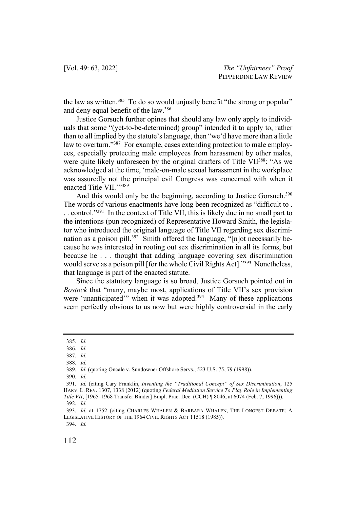the law as written.<sup>385</sup> To do so would unjustly benefit "the strong or popular" and deny equal benefit of the law.386

Justice Gorsuch further opines that should any law only apply to individuals that some "(yet-to-be-determined) group" intended it to apply to, rather than to all implied by the statute's language, then "we'd have more than a little law to overturn."<sup>387</sup> For example, cases extending protection to male employees, especially protecting male employees from harassment by other males, were quite likely unforeseen by the original drafters of Title VII<sup>388</sup>: "As we acknowledged at the time, 'male-on-male sexual harassment in the workplace was assuredly not the principal evil Congress was concerned with when it enacted Title VII.""389

And this would only be the beginning, according to Justice Gorsuch.<sup>390</sup> The words of various enactments have long been recognized as "difficult to . . . control."391 In the context of Title VII, this is likely due in no small part to the intentions (pun recognized) of Representative Howard Smith, the legislator who introduced the original language of Title VII regarding sex discrimination as a poison pill.<sup>392</sup> Smith offered the language, "[n]ot necessarily because he was interested in rooting out sex discrimination in all its forms, but because he . . . thought that adding language covering sex discrimination would serve as a poison pill [for the whole Civil Rights Act]."<sup>393</sup> Nonetheless, that language is part of the enacted statute.

Since the statutory language is so broad, Justice Gorsuch pointed out in *Bostock* that "many, maybe most, applications of Title VII's sex provision were 'unanticipated'" when it was adopted.<sup>394</sup> Many of these applications seem perfectly obvious to us now but were highly controversial in the early

394. *Id.*

<sup>385.</sup> *Id.*

<sup>386.</sup> *Id.*

<sup>387.</sup> *Id.*

<sup>388.</sup> *Id.*

<sup>389.</sup> *Id.* (quoting Oncale v. Sundowner Offshore Servs., 523 U.S. 75, 79 (1998)).

<sup>390.</sup> *Id.*

<sup>391.</sup> *Id.* (citing Cary Franklin, *Inventing the "Traditional Concept" of Sex Discrimination*, 125 HARV. L. REV. 1307, 1338 (2012) (quoting *Federal Mediation Service To Play Role in Implementing Title VII*, [1965–1968 Transfer Binder] Empl. Prac. Dec. (CCH) ¶ 8046, at 6074 (Feb. 7, 1996))). 392. *Id.*

<sup>393.</sup> *Id.* at 1752 (citing CHARLES WHALEN & BARBARA WHALEN, THE LONGEST DEBATE: A LEGISLATIVE HISTORY OF THE 1964 CIVIL RIGHTS ACT 11518 (1985)).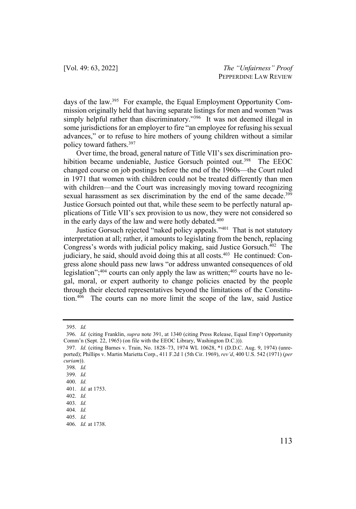days of the law.395 For example, the Equal Employment Opportunity Commission originally held that having separate listings for men and women "was simply helpful rather than discriminatory."<sup>396</sup> It was not deemed illegal in some jurisdictions for an employer to fire "an employee for refusing his sexual advances," or to refuse to hire mothers of young children without a similar policy toward fathers.397

Over time, the broad, general nature of Title VII's sex discrimination prohibition became undeniable, Justice Gorsuch pointed out.<sup>398</sup> The EEOC changed course on job postings before the end of the 1960s—the Court ruled in 1971 that women with children could not be treated differently than men with children—and the Court was increasingly moving toward recognizing sexual harassment as sex discrimination by the end of the same decade.<sup>399</sup> Justice Gorsuch pointed out that, while these seem to be perfectly natural applications of Title VII's sex provision to us now, they were not considered so in the early days of the law and were hotly debated.<sup>400</sup>

Justice Gorsuch rejected "naked policy appeals."401 That is not statutory interpretation at all; rather, it amounts to legislating from the bench, replacing Congress's words with judicial policy making, said Justice Gorsuch.402 The judiciary, he said, should avoid doing this at all costs.<sup>403</sup> He continued: Congress alone should pass new laws "or address unwanted consequences of old legislation";<sup>404</sup> courts can only apply the law as written;<sup>405</sup> courts have no legal, moral, or expert authority to change policies enacted by the people through their elected representatives beyond the limitations of the Constitution.406 The courts can no more limit the scope of the law, said Justice

<sup>395.</sup> *Id.*

<sup>396.</sup> *Id.* (citing Franklin, *supra* note 391, at 1340 (citing Press Release, Equal Emp't Opportunity Comm'n (Sept. 22, 1965) (on file with the EEOC Library, Washington D.C.))).

<sup>397.</sup> *Id.* (citing Barnes v. Train, No. 1828–73, 1974 WL 10628, \*1 (D.D.C. Aug. 9, 1974) (unreported); Phillips v. Martin Marietta Corp., 411 F.2d 1 (5th Cir. 1969), *rev'd*, 400 U.S. 542 (1971) (*per curiam*)).

<sup>398.</sup> *Id.*

<sup>399.</sup> *Id.*

<sup>400.</sup> *Id.*

<sup>401.</sup> *Id.* at 1753.

<sup>402.</sup> *Id.*

<sup>403.</sup> *Id.*

<sup>404.</sup> *Id.*

<sup>405.</sup> *Id.*

<sup>406.</sup> *Id.* at 1738.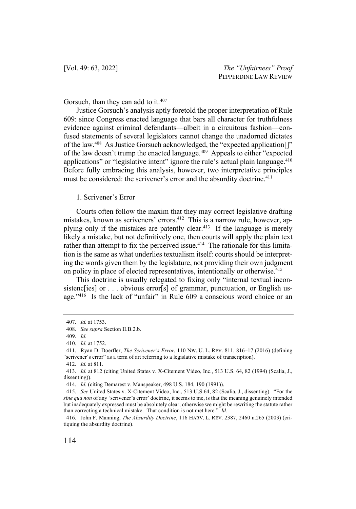Gorsuch, than they can add to it.<sup>407</sup>

Justice Gorsuch's analysis aptly foretold the proper interpretation of Rule 609: since Congress enacted language that bars all character for truthfulness evidence against criminal defendants—albeit in a circuitous fashion—confused statements of several legislators cannot change the unadorned dictates of the law.408 As Justice Gorsuch acknowledged, the "expected application[]" of the law doesn't trump the enacted language.<sup>409</sup> Appeals to either "expected applications" or "legislative intent" ignore the rule's actual plain language. $410$ Before fully embracing this analysis, however, two interpretative principles must be considered: the scrivener's error and the absurdity doctrine.<sup>411</sup>

## 1. Scrivener's Error

Courts often follow the maxim that they may correct legislative drafting mistakes, known as scriveners' errors.412 This is a narrow rule, however, applying only if the mistakes are patently clear.413 If the language is merely likely a mistake, but not definitively one, then courts will apply the plain text rather than attempt to fix the perceived issue.<sup>414</sup> The rationale for this limitation is the same as what underlies textualism itself: courts should be interpreting the words given them by the legislature, not providing their own judgment on policy in place of elected representatives, intentionally or otherwise.415

This doctrine is usually relegated to fixing only "internal textual inconsistenc[ies] or . . . obvious error[s] of grammar, punctuation, or English usage."416 Is the lack of "unfair" in Rule 609 a conscious word choice or an

<sup>407.</sup> *Id.* at 1753.

<sup>408.</sup> *See supra* Section II.B.2.b.

<sup>409.</sup> *Id.*

<sup>410.</sup> *Id.* at 1752.

<sup>411.</sup> Ryan D. Doerfler, *The Scrivener's Error*, 110 NW. U. L. REV. 811, 816–17 (2016) (defining "scrivener's error" as a term of art referring to a legislative mistake of transcription).

<sup>412.</sup> *Id.* at 811.

<sup>413.</sup> *Id.* at 812 (citing United States v. X-Citement Video, Inc., 513 U.S. 64, 82 (1994) (Scalia, J., dissenting)).

<sup>414.</sup> *Id.* (citing Demarest v. Manspeaker, 498 U.S. 184, 190 (1991)).

<sup>415.</sup> *See* United States v. X-Citement Video, Inc., 513 U.S.64, 82 (Scalia, J., dissenting). "For the *sine qua non* of any 'scrivener's error' doctrine, it seems to me, is that the meaning genuinely intended but inadequately expressed must be absolutely clear; otherwise we might be rewriting the statute rather than correcting a technical mistake. That condition is not met here." *Id.*

<sup>416.</sup> John F. Manning, *The Absurdity Doctrine*, 116 HARV. L. REV. 2387, 2460 n.265 (2003) (critiquing the absurdity doctrine).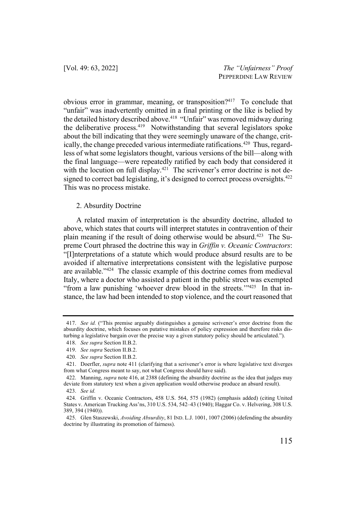obvious error in grammar, meaning, or transposition?417 To conclude that "unfair" was inadvertently omitted in a final printing or the like is belied by the detailed history described above.<sup>418</sup> "Unfair" was removed midway during the deliberative process.<sup>419</sup> Notwithstanding that several legislators spoke about the bill indicating that they were seemingly unaware of the change, critically, the change preceded various intermediate ratifications.<sup>420</sup> Thus, regardless of what some legislators thought, various versions of the bill—along with the final language—were repeatedly ratified by each body that considered it with the locution on full display. $421$  The scrivener's error doctrine is not designed to correct bad legislating, it's designed to correct process oversights.<sup>422</sup> This was no process mistake.

#### 2. Absurdity Doctrine

A related maxim of interpretation is the absurdity doctrine, alluded to above, which states that courts will interpret statutes in contravention of their plain meaning if the result of doing otherwise would be absurd.423 The Supreme Court phrased the doctrine this way in *Griffin v. Oceanic Contractors*: "[I]nterpretations of a statute which would produce absurd results are to be avoided if alternative interpretations consistent with the legislative purpose are available."424 The classic example of this doctrine comes from medieval Italy, where a doctor who assisted a patient in the public street was exempted "from a law punishing 'whoever drew blood in the streets."<sup>425</sup> In that instance, the law had been intended to stop violence, and the court reasoned that

<sup>417.</sup> *See id.* ("This premise arguably distinguishes a genuine scrivener's error doctrine from the absurdity doctrine, which focuses on putative mistakes of policy expression and therefore risks disturbing a legislative bargain over the precise way a given statutory policy should be articulated.").

<sup>418.</sup> *See supra* Section II.B.2.

<sup>419.</sup> *See supra* Section II.B.2.

<sup>420.</sup> *See supra* Section II.B.2.

<sup>421.</sup> Doerfler, *supra* note 411 (clarifying that a scrivener's error is where legislative text diverges from what Congress meant to say, not what Congress should have said).

<sup>422.</sup> Manning, *supra* note 416, at 2388 (defining the absurdity doctrine as the idea that judges may deviate from statutory text when a given application would otherwise produce an absurd result).

<sup>423.</sup> *See id.* 

<sup>424.</sup> Griffin v. Oceanic Contractors, 458 U.S. 564, 575 (1982) (emphasis added) (citing United States v. American Trucking Ass'ns, 310 U.S. 534, 542–43 (1940); Haggar Co. v. Helvering, 308 U.S. 389, 394 (1940)).

<sup>425.</sup> Glen Staszewski, *Avoiding Absurdity*, 81 IND. L.J. 1001, 1007 (2006) (defending the absurdity doctrine by illustrating its promotion of fairness).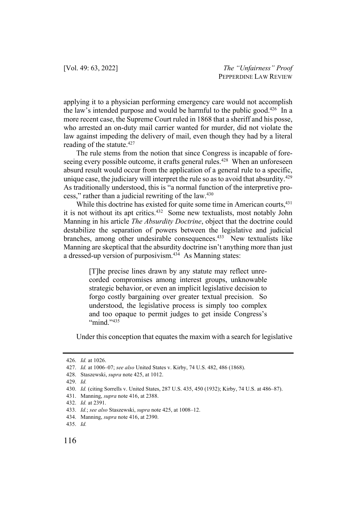applying it to a physician performing emergency care would not accomplish the law's intended purpose and would be harmful to the public good.<sup>426</sup> In a more recent case, the Supreme Court ruled in 1868 that a sheriff and his posse, who arrested an on-duty mail carrier wanted for murder, did not violate the law against impeding the delivery of mail, even though they had by a literal reading of the statute.<sup>427</sup>

The rule stems from the notion that since Congress is incapable of foreseeing every possible outcome, it crafts general rules.<sup>428</sup> When an unforeseen absurd result would occur from the application of a general rule to a specific, unique case, the judiciary will interpret the rule so as to avoid that absurdity.<sup>429</sup> As traditionally understood, this is "a normal function of the interpretive process," rather than a judicial rewriting of the law.430

While this doctrine has existed for quite some time in American courts,<sup>431</sup> it is not without its apt critics.<sup>432</sup> Some new textualists, most notably John Manning in his article *The Absurdity Doctrine*, object that the doctrine could destabilize the separation of powers between the legislative and judicial branches, among other undesirable consequences.<sup>433</sup> New textualists like Manning are skeptical that the absurdity doctrine isn't anything more than just a dressed-up version of purposivism.<sup>434</sup> As Manning states:

> [T]he precise lines drawn by any statute may reflect unrecorded compromises among interest groups, unknowable strategic behavior, or even an implicit legislative decision to forgo costly bargaining over greater textual precision. So understood, the legislative process is simply too complex and too opaque to permit judges to get inside Congress's "mind."<sup>435</sup>

Under this conception that equates the maxim with a search for legislative

<sup>426.</sup> *Id.* at 1026.

<sup>427.</sup> *Id.* at 1006–07; *see also* United States v. Kirby, 74 U.S. 482, 486 (1868).

<sup>428.</sup> Staszewski, *supra* note 425, at 1012.

<sup>429.</sup> *Id.* 

<sup>430.</sup> *Id.* (citing Sorrells v. United States, 287 U.S. 435, 450 (1932); Kirby, 74 U.S. at 486–87).

<sup>431.</sup> Manning, *supra* note 416, at 2388.

<sup>432.</sup> *Id.* at 2391.

<sup>433.</sup> *Id.*; *see also* Staszewski, *supra* note 425, at 1008–12.

<sup>434.</sup> Manning, *supra* note 416, at 2390.

<sup>435.</sup> *Id.*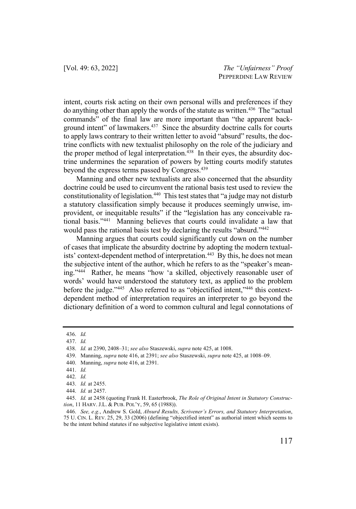intent, courts risk acting on their own personal wills and preferences if they do anything other than apply the words of the statute as written.436 The "actual commands" of the final law are more important than "the apparent background intent" of lawmakers. $437$  Since the absurdity doctrine calls for courts to apply laws contrary to their written letter to avoid "absurd" results, the doctrine conflicts with new textualist philosophy on the role of the judiciary and the proper method of legal interpretation. $438$  In their eyes, the absurdity doctrine undermines the separation of powers by letting courts modify statutes beyond the express terms passed by Congress.<sup>439</sup>

Manning and other new textualists are also concerned that the absurdity doctrine could be used to circumvent the rational basis test used to review the constitutionality of legislation.440 This test states that "a judge may not disturb a statutory classification simply because it produces seemingly unwise, improvident, or inequitable results" if the "legislation has any conceivable rational basis."441 Manning believes that courts could invalidate a law that would pass the rational basis test by declaring the results "absurd."442

Manning argues that courts could significantly cut down on the number of cases that implicate the absurdity doctrine by adopting the modern textualists' context-dependent method of interpretation.<sup>443</sup> By this, he does not mean the subjective intent of the author, which he refers to as the "speaker's meaning."444 Rather, he means "how 'a skilled, objectively reasonable user of words' would have understood the statutory text, as applied to the problem before the judge."445 Also referred to as "objectified intent,"446 this contextdependent method of interpretation requires an interpreter to go beyond the dictionary definition of a word to common cultural and legal connotations of

<sup>436.</sup> *Id.*

<sup>437.</sup> *Id.*

<sup>438.</sup> *Id.* at 2390, 2408–31; *see also* Staszewski, *supra* note 425, at 1008.

<sup>439.</sup> Manning, *supra* note 416, at 2391; *see also* Staszewski, *supra* note 425, at 1008–09.

<sup>440.</sup> Manning, *supra* note 416, at 2391.

<sup>441.</sup> *Id.*

<sup>442.</sup> *Id.*

<sup>443.</sup> *Id.* at 2455.

<sup>444.</sup> *Id.* at 2457.

<sup>445.</sup> *Id.* at 2458 (quoting Frank H. Easterbrook, *The Role of Original Intent in Statutory Construction*, 11 HARV. J.L. & PUB. POL'Y, 59, 65 (1988)).

<sup>446.</sup> *See, e.g.*, Andrew S. Gold, *Absurd Results, Scrivener's Errors, and Statutory Interpretation*, 75 U. CIN. L. REV. 25, 29, 33 (2006) (defining "objectified intent" as authorial intent which seems to be the intent behind statutes if no subjective legislative intent exists).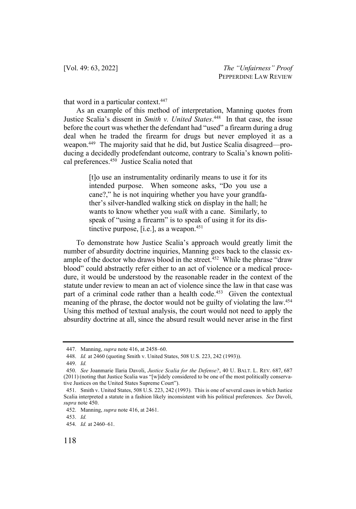that word in a particular context.<sup>447</sup>

As an example of this method of interpretation, Manning quotes from Justice Scalia's dissent in *Smith v. United States*. 448 In that case, the issue before the court was whether the defendant had "used" a firearm during a drug deal when he traded the firearm for drugs but never employed it as a weapon.449 The majority said that he did, but Justice Scalia disagreed—producing a decidedly prodefendant outcome, contrary to Scalia's known political preferences.450 Justice Scalia noted that

> [t]o use an instrumentality ordinarily means to use it for its intended purpose. When someone asks, "Do you use a cane?," he is not inquiring whether you have your grandfather's silver-handled walking stick on display in the hall; he wants to know whether you *walk* with a cane. Similarly, to speak of "using a firearm" is to speak of using it for its distinctive purpose, [i.e.], as a weapon. $451$

To demonstrate how Justice Scalia's approach would greatly limit the number of absurdity doctrine inquiries, Manning goes back to the classic example of the doctor who draws blood in the street.<sup>452</sup> While the phrase "draw blood" could abstractly refer either to an act of violence or a medical procedure, it would be understood by the reasonable reader in the context of the statute under review to mean an act of violence since the law in that case was part of a criminal code rather than a health code.<sup>453</sup> Given the contextual meaning of the phrase, the doctor would not be guilty of violating the law.<sup>454</sup> Using this method of textual analysis, the court would not need to apply the absurdity doctrine at all, since the absurd result would never arise in the first

<sup>447.</sup> Manning, *supra* note 416, at 2458–60.

<sup>448.</sup> *Id.* at 2460 (quoting Smith v. United States, 508 U.S. 223, 242 (1993)).

<sup>449.</sup> *Id.*

<sup>450.</sup> *See* Joanmarie Ilaria Davoli, *Justice Scalia for the Defense?*, 40 U. BALT. L. REV. 687, 687 (2011) (noting that Justice Scalia was "[w]idely considered to be one of the most politically conservative Justices on the United States Supreme Court").

<sup>451.</sup> Smith v. United States, 508 U.S. 223, 242 (1993). This is one of several cases in which Justice Scalia interpreted a statute in a fashion likely inconsistent with his political preferences. *See* Davoli, *supra* note 450.

<sup>452.</sup> Manning, *supra* note 416, at 2461.

<sup>453.</sup> *Id.*

<sup>454.</sup> *Id.* at 2460–61.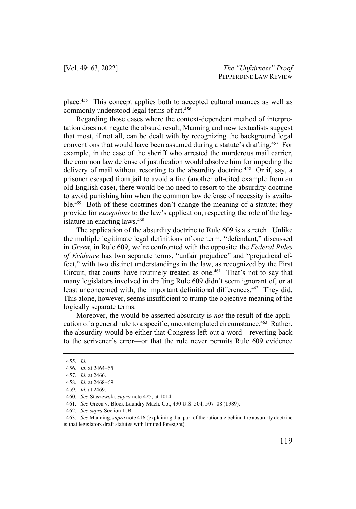place.455 This concept applies both to accepted cultural nuances as well as commonly understood legal terms of art.456

Regarding those cases where the context-dependent method of interpretation does not negate the absurd result, Manning and new textualists suggest that most, if not all, can be dealt with by recognizing the background legal conventions that would have been assumed during a statute's drafting.457 For example, in the case of the sheriff who arrested the murderous mail carrier, the common law defense of justification would absolve him for impeding the delivery of mail without resorting to the absurdity doctrine.<sup>458</sup> Or if, say, a prisoner escaped from jail to avoid a fire (another oft-cited example from an old English case), there would be no need to resort to the absurdity doctrine to avoid punishing him when the common law defense of necessity is available.<sup>459</sup> Both of these doctrines don't change the meaning of a statute; they provide for *exceptions* to the law's application, respecting the role of the legislature in enacting laws.<sup>460</sup>

The application of the absurdity doctrine to Rule 609 is a stretch. Unlike the multiple legitimate legal definitions of one term, "defendant," discussed in *Green*, in Rule 609, we're confronted with the opposite: the *Federal Rules of Evidence* has two separate terms, "unfair prejudice" and "prejudicial effect," with two distinct understandings in the law, as recognized by the First Circuit, that courts have routinely treated as one.<sup>461</sup> That's not to say that many legislators involved in drafting Rule 609 didn't seem ignorant of, or at least unconcerned with, the important definitional differences.<sup>462</sup> They did. This alone, however, seems insufficient to trump the objective meaning of the logically separate terms.

Moreover, the would-be asserted absurdity is *not* the result of the application of a general rule to a specific, uncontemplated circumstance.<sup>463</sup> Rather, the absurdity would be either that Congress left out a word—reverting back to the scrivener's error—or that the rule never permits Rule 609 evidence

<sup>455.</sup> *Id.*

<sup>456.</sup> *Id.* at 2464–65.

<sup>457.</sup> *Id.* at 2466.

<sup>458.</sup> *Id.* at 2468–69.

<sup>459.</sup> *Id.* at 2469.

<sup>460.</sup> *See* Staszewski, *supra* note 425, at 1014.

<sup>461.</sup> *See* Green v. Block Laundry Mach. Co., 490 U.S. 504, 507–08 (1989).

<sup>462.</sup> *See supra* Section II.B.

<sup>463.</sup> *See* Manning,*supra* note 416 (explaining that part of the rationale behind the absurdity doctrine is that legislators draft statutes with limited foresight).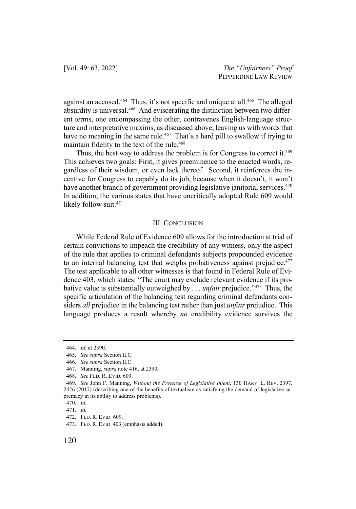against an accused.464 Thus, it's not specific and unique at all.465 The alleged absurdity is universal.<sup>466</sup> And eviscerating the distinction between two different terms, one encompassing the other, contravenes English-language structure and interpretative maxims, as discussed above, leaving us with words that have no meaning in the same rule.<sup>467</sup> That's a hard pill to swallow if trying to maintain fidelity to the text of the rule.<sup>468</sup>

Thus, the best way to address the problem is for Congress to correct it.<sup>469</sup> This achieves two goals: First, it gives preeminence to the enacted words, regardless of their wisdom, or even lack thereof. Second, it reinforces the incentive for Congress to capably do its job, because when it doesn't, it won't have another branch of government providing legislative janitorial services.<sup>470</sup> In addition, the various states that have uncritically adopted Rule 609 would likely follow suit.<sup>471</sup>

#### III. CONCLUSION

While Federal Rule of Evidence 609 allows for the introduction at trial of certain convictions to impeach the credibility of any witness, only the aspect of the rule that applies to criminal defendants subjects propounded evidence to an internal balancing test that weighs probativeness against prejudice. $472$ The test applicable to all other witnesses is that found in Federal Rule of Evidence 403, which states: "The court may exclude relevant evidence if its probative value is substantially outweighed by . . . *unfair* prejudice."473 Thus, the specific articulation of the balancing test regarding criminal defendants considers *all* prejudice in the balancing test rather than just *unfair* prejudice. This language produces a result whereby *no* credibility evidence survives the

<sup>464.</sup> *Id.* at 2390.

<sup>465.</sup> *See supra* Section II.C.

<sup>466.</sup> *See supra* Section II.C.

<sup>467.</sup> Manning, *supra* note 416, at 2390*.*

<sup>468.</sup> *See* FED. R. EVID. 609.

<sup>469.</sup> *See* John F. Manning, *Without the Pretense of Legislative Intent*, 130 HARV. L. REV. 2397, 2426 (2017) (describing one of the benefits of textualism as satisfying the demand of legislative supremacy in its ability to address problems).

<sup>470.</sup> *Id.*

<sup>471.</sup> *Id.*

<sup>472.</sup> FED. R. EVID. 609.

<sup>473.</sup> FED. R. EVID. 403 (emphasis added).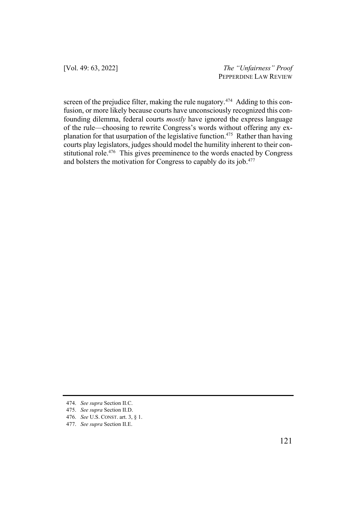[Vol. 49: 63, 2022] *The "Unfairness" Proof* PEPPERDINE LAW REVIEW

screen of the prejudice filter, making the rule nugatory.<sup>474</sup> Adding to this confusion, or more likely because courts have unconsciously recognized this confounding dilemma, federal courts *mostly* have ignored the express language of the rule—choosing to rewrite Congress's words without offering any explanation for that usurpation of the legislative function.475 Rather than having courts play legislators, judges should model the humility inherent to their constitutional role.<sup>476</sup> This gives preeminence to the words enacted by Congress and bolsters the motivation for Congress to capably do its job.<sup>477</sup>

477. *See supra* Section II.E.

<sup>474.</sup> *See supra* Section II.C.

<sup>475.</sup> *See supra* Section II.D.

<sup>476.</sup> *See* U.S. CONST. art. 3, § 1.